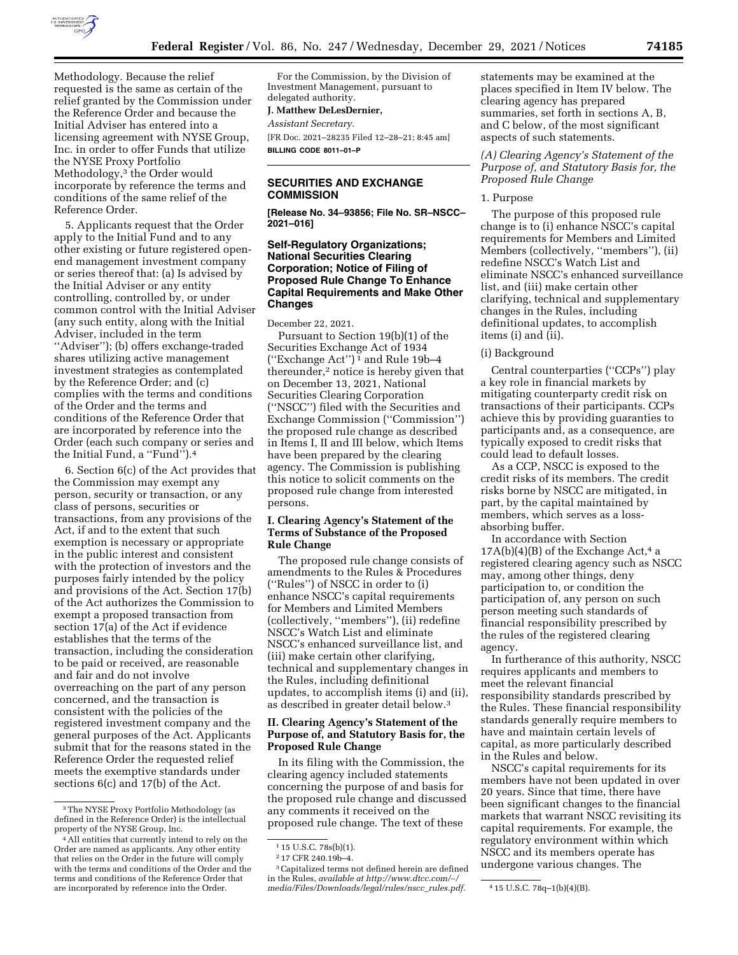

Methodology. Because the relief requested is the same as certain of the relief granted by the Commission under the Reference Order and because the Initial Adviser has entered into a licensing agreement with NYSE Group, Inc. in order to offer Funds that utilize the NYSE Proxy Portfolio Methodology,3 the Order would incorporate by reference the terms and conditions of the same relief of the Reference Order.

5. Applicants request that the Order apply to the Initial Fund and to any other existing or future registered openend management investment company or series thereof that: (a) Is advised by the Initial Adviser or any entity controlling, controlled by, or under common control with the Initial Adviser (any such entity, along with the Initial Adviser, included in the term ''Adviser''); (b) offers exchange-traded shares utilizing active management investment strategies as contemplated by the Reference Order; and (c) complies with the terms and conditions of the Order and the terms and conditions of the Reference Order that are incorporated by reference into the Order (each such company or series and the Initial Fund, a ''Fund'').4

6. Section 6(c) of the Act provides that the Commission may exempt any person, security or transaction, or any class of persons, securities or transactions, from any provisions of the Act, if and to the extent that such exemption is necessary or appropriate in the public interest and consistent with the protection of investors and the purposes fairly intended by the policy and provisions of the Act. Section 17(b) of the Act authorizes the Commission to exempt a proposed transaction from section 17(a) of the Act if evidence establishes that the terms of the transaction, including the consideration to be paid or received, are reasonable and fair and do not involve overreaching on the part of any person concerned, and the transaction is consistent with the policies of the registered investment company and the general purposes of the Act. Applicants submit that for the reasons stated in the Reference Order the requested relief meets the exemptive standards under sections 6(c) and 17(b) of the Act.

For the Commission, by the Division of Investment Management, pursuant to delegated authority.

#### **J. Matthew DeLesDernier,**

*Assistant Secretary.* 

[FR Doc. 2021–28235 Filed 12–28–21; 8:45 am] **BILLING CODE 8011–01–P** 

## **SECURITIES AND EXCHANGE COMMISSION**

**[Release No. 34–93856; File No. SR–NSCC– 2021–016]** 

# **Self-Regulatory Organizations; National Securities Clearing Corporation; Notice of Filing of Proposed Rule Change To Enhance Capital Requirements and Make Other Changes**

December 22, 2021.

Pursuant to Section 19(b)(1) of the Securities Exchange Act of 1934 (''Exchange Act'') 1 and Rule 19b–4 thereunder,2 notice is hereby given that on December 13, 2021, National Securities Clearing Corporation (''NSCC'') filed with the Securities and Exchange Commission (''Commission'') the proposed rule change as described in Items I, II and III below, which Items have been prepared by the clearing agency. The Commission is publishing this notice to solicit comments on the proposed rule change from interested persons.

## **I. Clearing Agency's Statement of the Terms of Substance of the Proposed Rule Change**

The proposed rule change consists of amendments to the Rules & Procedures (''Rules'') of NSCC in order to (i) enhance NSCC's capital requirements for Members and Limited Members (collectively, ''members''), (ii) redefine NSCC's Watch List and eliminate NSCC's enhanced surveillance list, and (iii) make certain other clarifying, technical and supplementary changes in the Rules, including definitional updates, to accomplish items (i) and (ii), as described in greater detail below.3

## **II. Clearing Agency's Statement of the Purpose of, and Statutory Basis for, the Proposed Rule Change**

In its filing with the Commission, the clearing agency included statements concerning the purpose of and basis for the proposed rule change and discussed any comments it received on the proposed rule change. The text of these

3Capitalized terms not defined herein are defined in the Rules, *available at [http://www.dtcc.com/](http://www.dtcc.com/~/media/Files/Downloads/legal/rules/nscc_rules.pdf)*∼*/ [media/Files/Downloads/legal/rules/nscc](http://www.dtcc.com/~/media/Files/Downloads/legal/rules/nscc_rules.pdf)*\_*rules.pdf.* 4 15 U.S.C. 78q–1(b)(4)(B).

statements may be examined at the places specified in Item IV below. The clearing agency has prepared summaries, set forth in sections A, B, and C below, of the most significant aspects of such statements.

*(A) Clearing Agency's Statement of the Purpose of, and Statutory Basis for, the Proposed Rule Change* 

# 1. Purpose

The purpose of this proposed rule change is to (i) enhance NSCC's capital requirements for Members and Limited Members (collectively, ''members''), (ii) redefine NSCC's Watch List and eliminate NSCC's enhanced surveillance list, and (iii) make certain other clarifying, technical and supplementary changes in the Rules, including definitional updates, to accomplish items (i) and (ii).

(i) Background

Central counterparties (''CCPs'') play a key role in financial markets by mitigating counterparty credit risk on transactions of their participants. CCPs achieve this by providing guaranties to participants and, as a consequence, are typically exposed to credit risks that could lead to default losses.

As a CCP, NSCC is exposed to the credit risks of its members. The credit risks borne by NSCC are mitigated, in part, by the capital maintained by members, which serves as a lossabsorbing buffer.

In accordance with Section  $17A(b)(4)(B)$  of the Exchange Act,<sup>4</sup> a registered clearing agency such as NSCC may, among other things, deny participation to, or condition the participation of, any person on such person meeting such standards of financial responsibility prescribed by the rules of the registered clearing agency.

In furtherance of this authority, NSCC requires applicants and members to meet the relevant financial responsibility standards prescribed by the Rules. These financial responsibility standards generally require members to have and maintain certain levels of capital, as more particularly described in the Rules and below.

NSCC's capital requirements for its members have not been updated in over 20 years. Since that time, there have been significant changes to the financial markets that warrant NSCC revisiting its capital requirements. For example, the regulatory environment within which NSCC and its members operate has undergone various changes. The

<sup>3</sup>The NYSE Proxy Portfolio Methodology (as defined in the Reference Order) is the intellectual property of the NYSE Group, Inc.

<sup>4</sup>All entities that currently intend to rely on the Order are named as applicants. Any other entity that relies on the Order in the future will comply with the terms and conditions of the Order and the terms and conditions of the Reference Order that are incorporated by reference into the Order.

<sup>1</sup> 15 U.S.C. 78s(b)(1).

<sup>2</sup> 17 CFR 240.19b–4.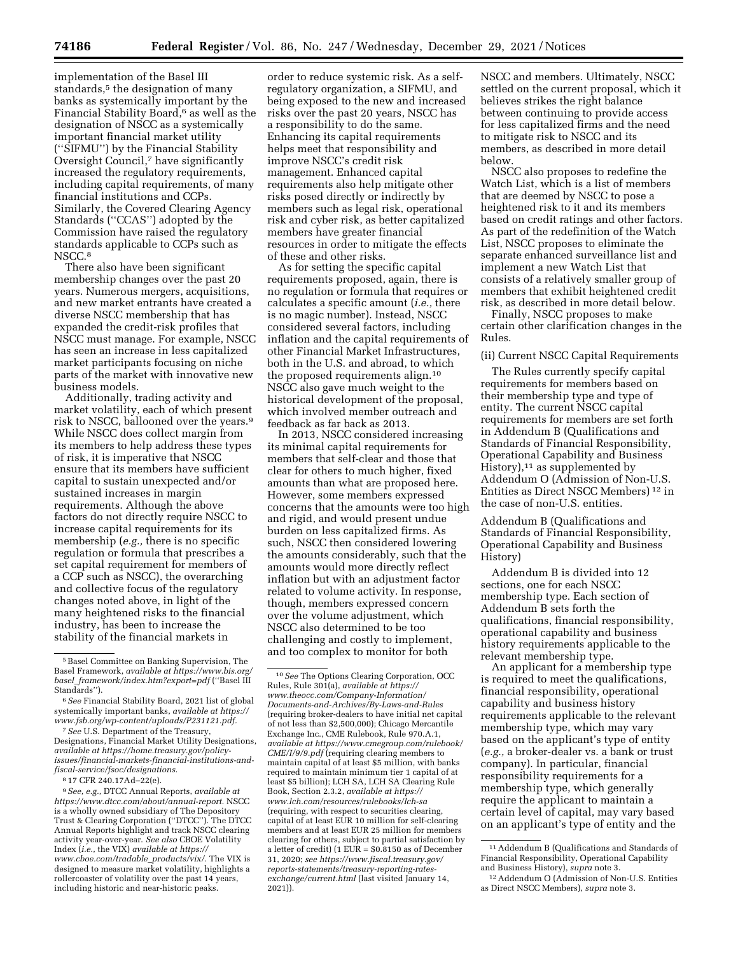implementation of the Basel III standards,<sup>5</sup> the designation of many banks as systemically important by the Financial Stability Board,<sup>6</sup> as well as the designation of NSCC as a systemically important financial market utility (''SIFMU'') by the Financial Stability Oversight Council,7 have significantly increased the regulatory requirements, including capital requirements, of many financial institutions and CCPs. Similarly, the Covered Clearing Agency Standards (''CCAS'') adopted by the Commission have raised the regulatory standards applicable to CCPs such as NSCC.<sup>8</sup>

There also have been significant membership changes over the past 20 years. Numerous mergers, acquisitions, and new market entrants have created a diverse NSCC membership that has expanded the credit-risk profiles that NSCC must manage. For example, NSCC has seen an increase in less capitalized market participants focusing on niche parts of the market with innovative new business models.

Additionally, trading activity and market volatility, each of which present risk to NSCC, ballooned over the years.9 While NSCC does collect margin from its members to help address these types of risk, it is imperative that NSCC ensure that its members have sufficient capital to sustain unexpected and/or sustained increases in margin requirements. Although the above factors do not directly require NSCC to increase capital requirements for its membership (*e.g.,* there is no specific regulation or formula that prescribes a set capital requirement for members of a CCP such as NSCC), the overarching and collective focus of the regulatory changes noted above, in light of the many heightened risks to the financial industry, has been to increase the stability of the financial markets in

7*See* U.S. Department of the Treasury, Designations, Financial Market Utility Designations, *available at [https://home.treasury.gov/policy](https://home.treasury.gov/policy-issues/financial-markets-financial-institutions-and-fiscal-service/fsoc/designations)[issues/financial-markets-financial-institutions-and](https://home.treasury.gov/policy-issues/financial-markets-financial-institutions-and-fiscal-service/fsoc/designations)[fiscal-service/fsoc/designations.](https://home.treasury.gov/policy-issues/financial-markets-financial-institutions-and-fiscal-service/fsoc/designations)* 

8 17 CFR 240.17Ad–22(e).

9*See, e.g.,* DTCC Annual Reports, *available at [https://www.dtcc.com/about/annual-report.](https://www.dtcc.com/about/annual-report)* NSCC is a wholly owned subsidiary of The Depository Trust & Clearing Corporation (''DTCC''). The DTCC Annual Reports highlight and track NSCC clearing activity year-over-year. *See also* CBOE Volatility Index (*i.e.,* the VIX) *available at [https://](https://www.cboe.com/tradable_products/vix/) [www.cboe.com/tradable](https://www.cboe.com/tradable_products/vix/)*\_*products/vix/.* The VIX is designed to measure market volatility, highlights a rollercoaster of volatility over the past 14 years, including historic and near-historic peaks.

order to reduce systemic risk. As a selfregulatory organization, a SIFMU, and being exposed to the new and increased risks over the past 20 years, NSCC has a responsibility to do the same. Enhancing its capital requirements helps meet that responsibility and improve NSCC's credit risk management. Enhanced capital requirements also help mitigate other risks posed directly or indirectly by members such as legal risk, operational risk and cyber risk, as better capitalized members have greater financial resources in order to mitigate the effects of these and other risks.

As for setting the specific capital requirements proposed, again, there is no regulation or formula that requires or calculates a specific amount (*i.e.,* there is no magic number). Instead, NSCC considered several factors, including inflation and the capital requirements of other Financial Market Infrastructures, both in the U.S. and abroad, to which the proposed requirements align.10 NSCC also gave much weight to the historical development of the proposal, which involved member outreach and feedback as far back as 2013.

In 2013, NSCC considered increasing its minimal capital requirements for members that self-clear and those that clear for others to much higher, fixed amounts than what are proposed here. However, some members expressed concerns that the amounts were too high and rigid, and would present undue burden on less capitalized firms. As such, NSCC then considered lowering the amounts considerably, such that the amounts would more directly reflect inflation but with an adjustment factor related to volume activity. In response, though, members expressed concern over the volume adjustment, which NSCC also determined to be too challenging and costly to implement, and too complex to monitor for both

NSCC and members. Ultimately, NSCC settled on the current proposal, which it believes strikes the right balance between continuing to provide access for less capitalized firms and the need to mitigate risk to NSCC and its members, as described in more detail below.

NSCC also proposes to redefine the Watch List, which is a list of members that are deemed by NSCC to pose a heightened risk to it and its members based on credit ratings and other factors. As part of the redefinition of the Watch List, NSCC proposes to eliminate the separate enhanced surveillance list and implement a new Watch List that consists of a relatively smaller group of members that exhibit heightened credit risk, as described in more detail below.

Finally, NSCC proposes to make certain other clarification changes in the Rules.

# (ii) Current NSCC Capital Requirements

The Rules currently specify capital requirements for members based on their membership type and type of entity. The current NSCC capital requirements for members are set forth in Addendum B (Qualifications and Standards of Financial Responsibility, Operational Capability and Business History), $11$  as supplemented by Addendum O (Admission of Non-U.S. Entities as Direct NSCC Members) 12 in the case of non-U.S. entities.

Addendum B (Qualifications and Standards of Financial Responsibility, Operational Capability and Business History)

Addendum B is divided into 12 sections, one for each NSCC membership type. Each section of Addendum B sets forth the qualifications, financial responsibility, operational capability and business history requirements applicable to the relevant membership type.

An applicant for a membership type is required to meet the qualifications, financial responsibility, operational capability and business history requirements applicable to the relevant membership type, which may vary based on the applicant's type of entity (*e.g.,* a broker-dealer vs. a bank or trust company). In particular, financial responsibility requirements for a membership type, which generally require the applicant to maintain a certain level of capital, may vary based on an applicant's type of entity and the

<sup>5</sup>Basel Committee on Banking Supervision, The Basel Framework, *available at [https://www.bis.org/](https://www.bis.org/basel_framework/index.htm?export=pdf) basel*\_*[framework/index.htm?export=pdf](https://www.bis.org/basel_framework/index.htm?export=pdf)* (''Basel III Standards'').

<sup>6</sup>*See* Financial Stability Board, 2021 list of global systemically important banks, *available at [https://](https://www.fsb.org/wp-content/uploads/P231121.pdf) [www.fsb.org/wp-content/uploads/P231121.pdf.](https://www.fsb.org/wp-content/uploads/P231121.pdf)* 

<sup>10</sup>*See* The Options Clearing Corporation, OCC Rules, Rule 301(a), *available at [https://](https://www.theocc.com/Company-Information/Documents-and-Archives/By-Laws-and-Rules) [www.theocc.com/Company-Information/](https://www.theocc.com/Company-Information/Documents-and-Archives/By-Laws-and-Rules) [Documents-and-Archives/By-Laws-and-Rules](https://www.theocc.com/Company-Information/Documents-and-Archives/By-Laws-and-Rules)*  (requiring broker-dealers to have initial net capital of not less than \$2,500,000); Chicago Mercantile Exchange Inc., CME Rulebook, Rule 970.A.1, *available at [https://www.cmegroup.com/rulebook/](https://www.cmegroup.com/rulebook/CME/I/9/9.pdf) [CME/I/9/9.pdf](https://www.cmegroup.com/rulebook/CME/I/9/9.pdf)* (requiring clearing members to maintain capital of at least \$5 million, with banks required to maintain minimum tier 1 capital of at least \$5 billion); LCH SA, LCH SA Clearing Rule Book, Section 2.3.2, *available at [https://](https://www.lch.com/resources/rulebooks/lch-sa) [www.lch.com/resources/rulebooks/lch-sa](https://www.lch.com/resources/rulebooks/lch-sa)*  (requiring, with respect to securities clearing, capital of at least EUR 10 million for self-clearing members and at least EUR 25 million for members clearing for others, subject to partial satisfaction by a letter of credit) (1 EUR = \$0.8150 as of December 31, 2020; *see [https://www.fiscal.treasury.gov/](https://www.fiscal.treasury.gov/reports-statements/treasury-reporting-rates-exchange/current.html)  [reports-statements/treasury-reporting-rates](https://www.fiscal.treasury.gov/reports-statements/treasury-reporting-rates-exchange/current.html)[exchange/current.html](https://www.fiscal.treasury.gov/reports-statements/treasury-reporting-rates-exchange/current.html)* (last visited January 14, 2021)).

<sup>11</sup>Addendum B (Qualifications and Standards of Financial Responsibility, Operational Capability and Business History), *supra* note 3.

<sup>12</sup>Addendum O (Admission of Non-U.S. Entities as Direct NSCC Members), *supra* note 3.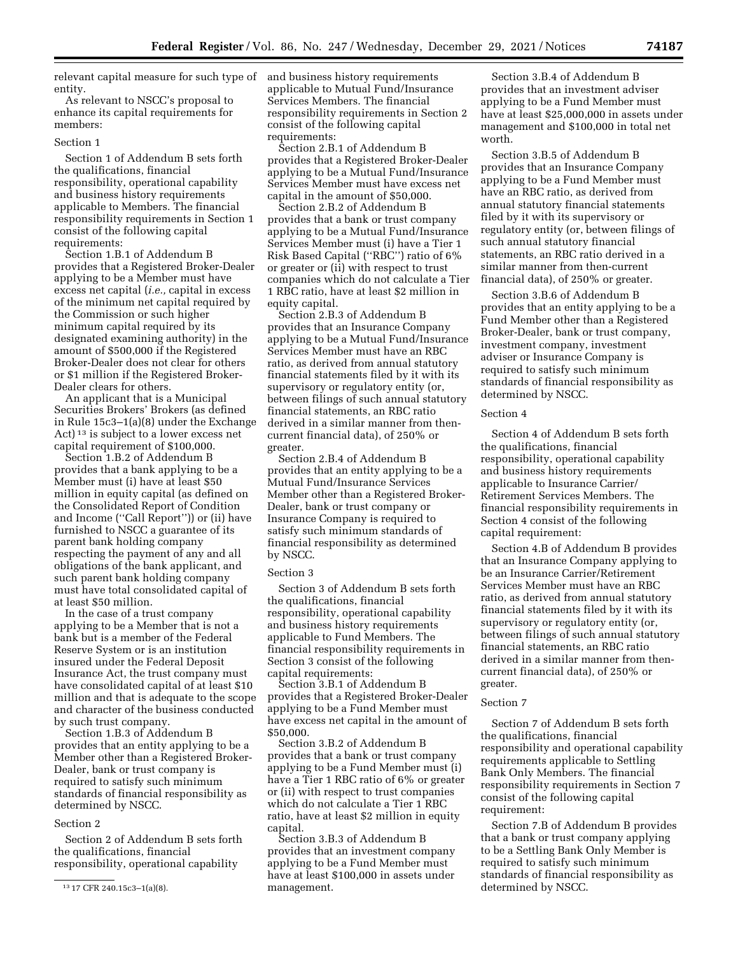relevant capital measure for such type of entity.

As relevant to NSCC's proposal to enhance its capital requirements for members:

#### Section 1

Section 1 of Addendum B sets forth the qualifications, financial responsibility, operational capability and business history requirements applicable to Members. The financial responsibility requirements in Section 1 consist of the following capital requirements:

Section 1.B.1 of Addendum B provides that a Registered Broker-Dealer applying to be a Member must have excess net capital (*i.e.,* capital in excess of the minimum net capital required by the Commission or such higher minimum capital required by its designated examining authority) in the amount of \$500,000 if the Registered Broker-Dealer does not clear for others or \$1 million if the Registered Broker-Dealer clears for others.

An applicant that is a Municipal Securities Brokers' Brokers (as defined in Rule 15c3–1(a)(8) under the Exchange Act) 13 is subject to a lower excess net capital requirement of \$100,000.

Section 1.B.2 of Addendum B provides that a bank applying to be a Member must (i) have at least \$50 million in equity capital (as defined on the Consolidated Report of Condition and Income (''Call Report'')) or (ii) have furnished to NSCC a guarantee of its parent bank holding company respecting the payment of any and all obligations of the bank applicant, and such parent bank holding company must have total consolidated capital of at least \$50 million.

In the case of a trust company applying to be a Member that is not a bank but is a member of the Federal Reserve System or is an institution insured under the Federal Deposit Insurance Act, the trust company must have consolidated capital of at least \$10 million and that is adequate to the scope and character of the business conducted by such trust company.

Section 1.B.3 of Addendum B provides that an entity applying to be a Member other than a Registered Broker-Dealer, bank or trust company is required to satisfy such minimum standards of financial responsibility as determined by NSCC.

## Section 2

Section 2 of Addendum B sets forth the qualifications, financial responsibility, operational capability

and business history requirements applicable to Mutual Fund/Insurance Services Members. The financial responsibility requirements in Section 2 consist of the following capital requirements:

Section 2.B.1 of Addendum B provides that a Registered Broker-Dealer applying to be a Mutual Fund/Insurance Services Member must have excess net capital in the amount of \$50,000.

Section 2.B.2 of Addendum B provides that a bank or trust company applying to be a Mutual Fund/Insurance Services Member must (i) have a Tier 1 Risk Based Capital (''RBC'') ratio of 6% or greater or (ii) with respect to trust companies which do not calculate a Tier 1 RBC ratio, have at least \$2 million in equity capital.

Section 2.B.3 of Addendum B provides that an Insurance Company applying to be a Mutual Fund/Insurance Services Member must have an RBC ratio, as derived from annual statutory financial statements filed by it with its supervisory or regulatory entity (or, between filings of such annual statutory financial statements, an RBC ratio derived in a similar manner from thencurrent financial data), of 250% or greater.

Section 2.B.4 of Addendum B provides that an entity applying to be a Mutual Fund/Insurance Services Member other than a Registered Broker-Dealer, bank or trust company or Insurance Company is required to satisfy such minimum standards of financial responsibility as determined by NSCC.

#### Section 3

Section 3 of Addendum B sets forth the qualifications, financial responsibility, operational capability and business history requirements applicable to Fund Members. The financial responsibility requirements in Section 3 consist of the following capital requirements:

Section 3.B.1 of Addendum B provides that a Registered Broker-Dealer applying to be a Fund Member must have excess net capital in the amount of \$50,000.

Section 3.B.2 of Addendum B provides that a bank or trust company applying to be a Fund Member must (i) have a Tier 1 RBC ratio of 6% or greater or (ii) with respect to trust companies which do not calculate a Tier 1 RBC ratio, have at least \$2 million in equity capital.

Section 3.B.3 of Addendum B provides that an investment company applying to be a Fund Member must have at least \$100,000 in assets under management.

Section 3.B.4 of Addendum B provides that an investment adviser applying to be a Fund Member must have at least \$25,000,000 in assets under management and \$100,000 in total net worth.

Section 3.B.5 of Addendum B provides that an Insurance Company applying to be a Fund Member must have an RBC ratio, as derived from annual statutory financial statements filed by it with its supervisory or regulatory entity (or, between filings of such annual statutory financial statements, an RBC ratio derived in a similar manner from then-current financial data), of 250% or greater.

Section 3.B.6 of Addendum B provides that an entity applying to be a Fund Member other than a Registered Broker-Dealer, bank or trust company, investment company, investment adviser or Insurance Company is required to satisfy such minimum standards of financial responsibility as determined by NSCC.

#### Section 4

Section 4 of Addendum B sets forth the qualifications, financial responsibility, operational capability and business history requirements applicable to Insurance Carrier/ Retirement Services Members. The financial responsibility requirements in Section 4 consist of the following capital requirement:

Section 4.B of Addendum B provides that an Insurance Company applying to be an Insurance Carrier/Retirement Services Member must have an RBC ratio, as derived from annual statutory financial statements filed by it with its supervisory or regulatory entity (or, between filings of such annual statutory financial statements, an RBC ratio derived in a similar manner from thencurrent financial data), of 250% or greater.

## Section 7

Section 7 of Addendum B sets forth the qualifications, financial responsibility and operational capability requirements applicable to Settling Bank Only Members. The financial responsibility requirements in Section 7 consist of the following capital requirement:

Section 7.B of Addendum B provides that a bank or trust company applying to be a Settling Bank Only Member is required to satisfy such minimum standards of financial responsibility as determined by NSCC.

<sup>13</sup> 17 CFR 240.15c3–1(a)(8).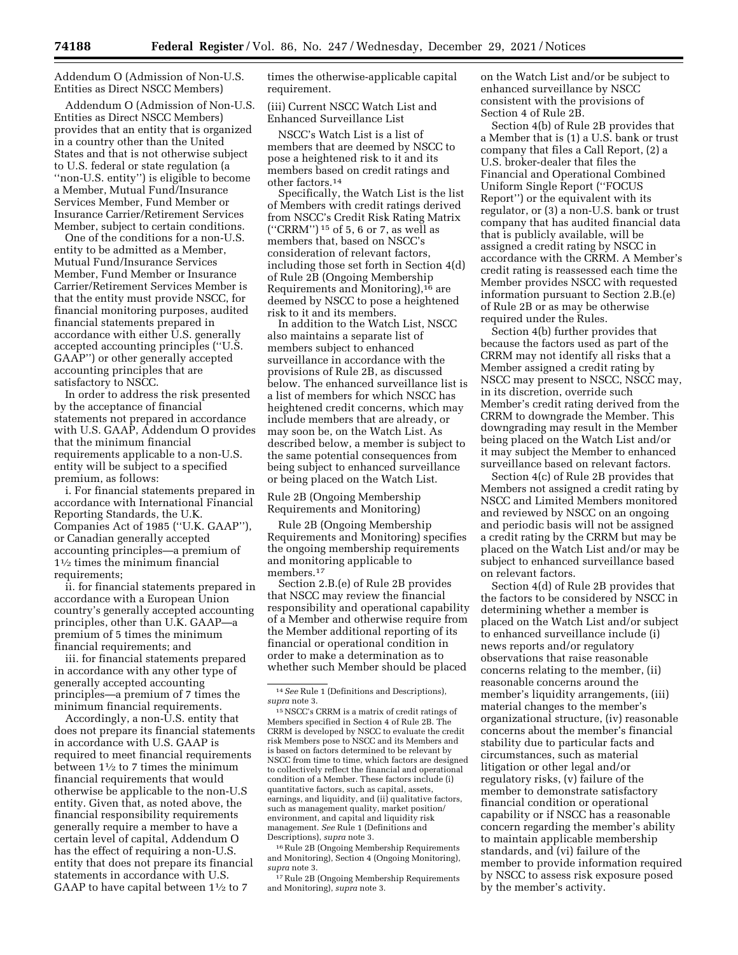Addendum O (Admission of Non-U.S. Entities as Direct NSCC Members)

Addendum O (Admission of Non-U.S. Entities as Direct NSCC Members) provides that an entity that is organized in a country other than the United States and that is not otherwise subject to U.S. federal or state regulation (a ''non-U.S. entity'') is eligible to become a Member, Mutual Fund/Insurance Services Member, Fund Member or Insurance Carrier/Retirement Services Member, subject to certain conditions.

One of the conditions for a non-U.S. entity to be admitted as a Member, Mutual Fund/Insurance Services Member, Fund Member or Insurance Carrier/Retirement Services Member is that the entity must provide NSCC, for financial monitoring purposes, audited financial statements prepared in accordance with either U.S. generally accepted accounting principles (''U.S. GAAP'') or other generally accepted accounting principles that are satisfactory to NSCC.

In order to address the risk presented by the acceptance of financial statements not prepared in accordance with U.S. GAAP, Addendum O provides that the minimum financial requirements applicable to a non-U.S. entity will be subject to a specified premium, as follows:

i. For financial statements prepared in accordance with International Financial Reporting Standards, the U.K. Companies Act of 1985 (''U.K. GAAP''), or Canadian generally accepted accounting principles—a premium of 11⁄2 times the minimum financial requirements;

ii. for financial statements prepared in accordance with a European Union country's generally accepted accounting principles, other than U.K. GAAP—a premium of 5 times the minimum financial requirements; and

iii. for financial statements prepared in accordance with any other type of generally accepted accounting principles—a premium of 7 times the minimum financial requirements.

Accordingly, a non-U.S. entity that does not prepare its financial statements in accordance with U.S. GAAP is required to meet financial requirements between  $1\frac{1}{2}$  to 7 times the minimum financial requirements that would otherwise be applicable to the non-U.S entity. Given that, as noted above, the financial responsibility requirements generally require a member to have a certain level of capital, Addendum O has the effect of requiring a non-U.S. entity that does not prepare its financial statements in accordance with U.S. GAAP to have capital between  $1\frac{1}{2}$  to 7

times the otherwise-applicable capital requirement.

# (iii) Current NSCC Watch List and Enhanced Surveillance List

NSCC's Watch List is a list of members that are deemed by NSCC to pose a heightened risk to it and its members based on credit ratings and other factors.14

Specifically, the Watch List is the list of Members with credit ratings derived from NSCC's Credit Risk Rating Matrix (''CRRM'') 15 of 5, 6 or 7, as well as members that, based on NSCC's consideration of relevant factors, including those set forth in Section 4(d) of Rule 2B (Ongoing Membership Requirements and Monitoring),16 are deemed by NSCC to pose a heightened risk to it and its members.

In addition to the Watch List, NSCC also maintains a separate list of members subject to enhanced surveillance in accordance with the provisions of Rule 2B, as discussed below. The enhanced surveillance list is a list of members for which NSCC has heightened credit concerns, which may include members that are already, or may soon be, on the Watch List. As described below, a member is subject to the same potential consequences from being subject to enhanced surveillance or being placed on the Watch List.

Rule 2B (Ongoing Membership Requirements and Monitoring)

Rule 2B (Ongoing Membership Requirements and Monitoring) specifies the ongoing membership requirements and monitoring applicable to members.<sup>17</sup>

Section 2.B.(e) of Rule 2B provides that NSCC may review the financial responsibility and operational capability of a Member and otherwise require from the Member additional reporting of its financial or operational condition in order to make a determination as to whether such Member should be placed

16Rule 2B (Ongoing Membership Requirements and Monitoring), Section 4 (Ongoing Monitoring), *supra* note 3.

17Rule 2B (Ongoing Membership Requirements and Monitoring), *supra* note 3.

on the Watch List and/or be subject to enhanced surveillance by NSCC consistent with the provisions of Section 4 of Rule 2B.

Section 4(b) of Rule 2B provides that a Member that is (1) a U.S. bank or trust company that files a Call Report, (2) a U.S. broker-dealer that files the Financial and Operational Combined Uniform Single Report (''FOCUS Report'') or the equivalent with its regulator, or (3) a non-U.S. bank or trust company that has audited financial data that is publicly available, will be assigned a credit rating by NSCC in accordance with the CRRM. A Member's credit rating is reassessed each time the Member provides NSCC with requested information pursuant to Section 2.B.(e) of Rule 2B or as may be otherwise required under the Rules.

Section 4(b) further provides that because the factors used as part of the CRRM may not identify all risks that a Member assigned a credit rating by NSCC may present to NSCC, NSCC may, in its discretion, override such Member's credit rating derived from the CRRM to downgrade the Member. This downgrading may result in the Member being placed on the Watch List and/or it may subject the Member to enhanced surveillance based on relevant factors.

Section 4(c) of Rule 2B provides that Members not assigned a credit rating by NSCC and Limited Members monitored and reviewed by NSCC on an ongoing and periodic basis will not be assigned a credit rating by the CRRM but may be placed on the Watch List and/or may be subject to enhanced surveillance based on relevant factors.

Section 4(d) of Rule 2B provides that the factors to be considered by NSCC in determining whether a member is placed on the Watch List and/or subject to enhanced surveillance include (i) news reports and/or regulatory observations that raise reasonable concerns relating to the member, (ii) reasonable concerns around the member's liquidity arrangements, (iii) material changes to the member's organizational structure, (iv) reasonable concerns about the member's financial stability due to particular facts and circumstances, such as material litigation or other legal and/or regulatory risks, (v) failure of the member to demonstrate satisfactory financial condition or operational capability or if NSCC has a reasonable concern regarding the member's ability to maintain applicable membership standards, and (vi) failure of the member to provide information required by NSCC to assess risk exposure posed by the member's activity.

<sup>14</sup>*See* Rule 1 (Definitions and Descriptions), *supra* note 3.

<sup>15</sup>NSCC's CRRM is a matrix of credit ratings of Members specified in Section 4 of Rule 2B. The CRRM is developed by NSCC to evaluate the credit risk Members pose to NSCC and its Members and is based on factors determined to be relevant by NSCC from time to time, which factors are designed to collectively reflect the financial and operational condition of a Member. These factors include (i) quantitative factors, such as capital, assets, earnings, and liquidity, and (ii) qualitative factors, such as management quality, market position/ environment, and capital and liquidity risk management. *See* Rule 1 (Definitions and Descriptions), *supra* note 3.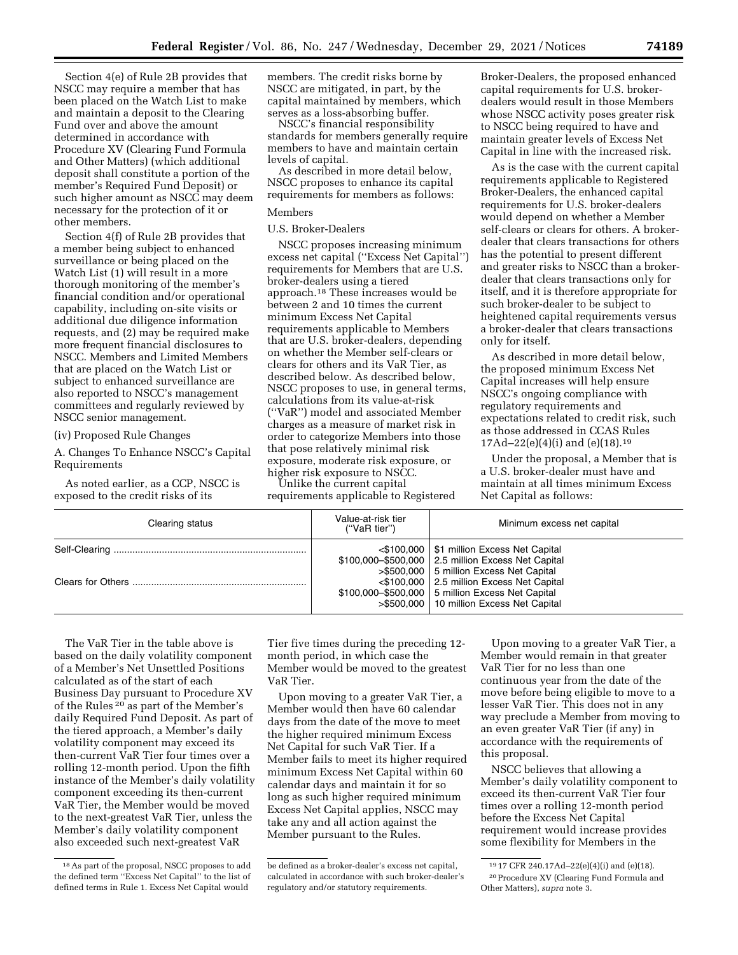Section 4(e) of Rule 2B provides that NSCC may require a member that has been placed on the Watch List to make and maintain a deposit to the Clearing Fund over and above the amount determined in accordance with Procedure XV (Clearing Fund Formula and Other Matters) (which additional deposit shall constitute a portion of the member's Required Fund Deposit) or such higher amount as NSCC may deem necessary for the protection of it or other members.

Section 4(f) of Rule 2B provides that a member being subject to enhanced surveillance or being placed on the Watch List (1) will result in a more thorough monitoring of the member's financial condition and/or operational capability, including on-site visits or additional due diligence information requests, and (2) may be required make more frequent financial disclosures to NSCC. Members and Limited Members that are placed on the Watch List or subject to enhanced surveillance are also reported to NSCC's management committees and regularly reviewed by NSCC senior management.

# (iv) Proposed Rule Changes

A. Changes To Enhance NSCC's Capital Requirements

As noted earlier, as a CCP, NSCC is exposed to the credit risks of its

members. The credit risks borne by NSCC are mitigated, in part, by the capital maintained by members, which serves as a loss-absorbing buffer.

NSCC's financial responsibility standards for members generally require members to have and maintain certain levels of capital.

As described in more detail below, NSCC proposes to enhance its capital requirements for members as follows:

# Members

U.S. Broker-Dealers

NSCC proposes increasing minimum excess net capital (''Excess Net Capital'') requirements for Members that are U.S. broker-dealers using a tiered approach.18 These increases would be between 2 and 10 times the current minimum Excess Net Capital requirements applicable to Members that are U.S. broker-dealers, depending on whether the Member self-clears or clears for others and its VaR Tier, as described below. As described below, NSCC proposes to use, in general terms, calculations from its value-at-risk (''VaR'') model and associated Member charges as a measure of market risk in order to categorize Members into those that pose relatively minimal risk exposure, moderate risk exposure, or higher risk exposure to NSCC.

Unlike the current capital requirements applicable to Registered

Broker-Dealers, the proposed enhanced capital requirements for U.S. brokerdealers would result in those Members whose NSCC activity poses greater risk to NSCC being required to have and maintain greater levels of Excess Net Capital in line with the increased risk.

As is the case with the current capital requirements applicable to Registered Broker-Dealers, the enhanced capital requirements for U.S. broker-dealers would depend on whether a Member self-clears or clears for others. A brokerdealer that clears transactions for others has the potential to present different and greater risks to NSCC than a brokerdealer that clears transactions only for itself, and it is therefore appropriate for such broker-dealer to be subject to heightened capital requirements versus a broker-dealer that clears transactions only for itself.

As described in more detail below, the proposed minimum Excess Net Capital increases will help ensure NSCC's ongoing compliance with regulatory requirements and expectations related to credit risk, such as those addressed in CCAS Rules 17Ad–22(e)(4)(i) and (e)(18).19

Under the proposal, a Member that is a U.S. broker-dealer must have and maintain at all times minimum Excess Net Capital as follows:

| Clearing status | Value-at-risk tier<br>("VaR tier") | Minimum excess net capital                                                                                                                                                                                                                                                                                |
|-----------------|------------------------------------|-----------------------------------------------------------------------------------------------------------------------------------------------------------------------------------------------------------------------------------------------------------------------------------------------------------|
|                 |                                    | $\leq$ \$100,000   \$1 million Excess Net Capital<br>\$100,000-\$500,000   2.5 million Excess Net Capital<br>>\$500,000   5 million Excess Net Capital<br><\$100,000   2.5 million Excess Net Capital<br>\$100,000-\$500,000   5 million Excess Net Capital<br>>\$500,000   10 million Excess Net Capital |

The VaR Tier in the table above is based on the daily volatility component of a Member's Net Unsettled Positions calculated as of the start of each Business Day pursuant to Procedure XV of the Rules 20 as part of the Member's daily Required Fund Deposit. As part of the tiered approach, a Member's daily volatility component may exceed its then-current VaR Tier four times over a rolling 12-month period. Upon the fifth instance of the Member's daily volatility component exceeding its then-current VaR Tier, the Member would be moved to the next-greatest VaR Tier, unless the Member's daily volatility component also exceeded such next-greatest VaR

Tier five times during the preceding 12 month period, in which case the Member would be moved to the greatest VaR Tier.

Upon moving to a greater VaR Tier, a Member would then have 60 calendar days from the date of the move to meet the higher required minimum Excess Net Capital for such VaR Tier. If a Member fails to meet its higher required minimum Excess Net Capital within 60 calendar days and maintain it for so long as such higher required minimum Excess Net Capital applies, NSCC may take any and all action against the Member pursuant to the Rules.

Upon moving to a greater VaR Tier, a Member would remain in that greater VaR Tier for no less than one continuous year from the date of the move before being eligible to move to a lesser VaR Tier. This does not in any way preclude a Member from moving to an even greater VaR Tier (if any) in accordance with the requirements of this proposal.

NSCC believes that allowing a Member's daily volatility component to exceed its then-current VaR Tier four times over a rolling 12-month period before the Excess Net Capital requirement would increase provides some flexibility for Members in the

<sup>18</sup>As part of the proposal, NSCC proposes to add the defined term ''Excess Net Capital'' to the list of defined terms in Rule 1. Excess Net Capital would

be defined as a broker-dealer's excess net capital, calculated in accordance with such broker-dealer's regulatory and/or statutory requirements.

<sup>19</sup> 17 CFR 240.17Ad–22(e)(4)(i) and (e)(18). 20Procedure XV (Clearing Fund Formula and Other Matters), *supra* note 3.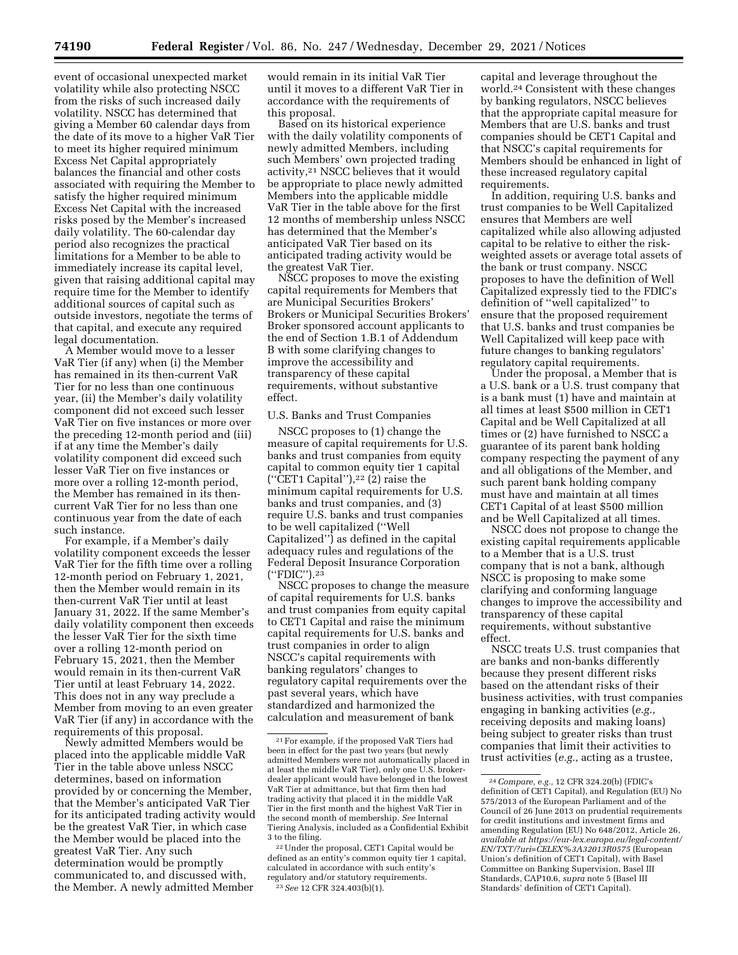event of occasional unexpected market volatility while also protecting NSCC from the risks of such increased daily volatility. NSCC has determined that giving a Member 60 calendar days from the date of its move to a higher VaR Tier to meet its higher required minimum Excess Net Capital appropriately balances the financial and other costs associated with requiring the Member to satisfy the higher required minimum Excess Net Capital with the increased risks posed by the Member's increased daily volatility. The 60-calendar day period also recognizes the practical limitations for a Member to be able to immediately increase its capital level, given that raising additional capital may require time for the Member to identify additional sources of capital such as outside investors, negotiate the terms of that capital, and execute any required legal documentation.

A Member would move to a lesser VaR Tier (if any) when (i) the Member has remained in its then-current VaR Tier for no less than one continuous year, (ii) the Member's daily volatility component did not exceed such lesser VaR Tier on five instances or more over the preceding 12-month period and (iii) if at any time the Member's daily volatility component did exceed such lesser VaR Tier on five instances or more over a rolling 12-month period, the Member has remained in its thencurrent VaR Tier for no less than one continuous year from the date of each such instance.

For example, if a Member's daily volatility component exceeds the lesser VaR Tier for the fifth time over a rolling 12-month period on February 1, 2021, then the Member would remain in its then-current VaR Tier until at least January 31, 2022. If the same Member's daily volatility component then exceeds the lesser VaR Tier for the sixth time over a rolling 12-month period on February 15, 2021, then the Member would remain in its then-current VaR Tier until at least February 14, 2022. This does not in any way preclude a Member from moving to an even greater VaR Tier (if any) in accordance with the requirements of this proposal.

Newly admitted Members would be placed into the applicable middle VaR Tier in the table above unless NSCC determines, based on information provided by or concerning the Member, that the Member's anticipated VaR Tier for its anticipated trading activity would be the greatest VaR Tier, in which case the Member would be placed into the greatest VaR Tier. Any such determination would be promptly communicated to, and discussed with, the Member. A newly admitted Member

would remain in its initial VaR Tier until it moves to a different VaR Tier in accordance with the requirements of this proposal.

Based on its historical experience with the daily volatility components of newly admitted Members, including such Members' own projected trading activity,21 NSCC believes that it would be appropriate to place newly admitted Members into the applicable middle VaR Tier in the table above for the first 12 months of membership unless NSCC has determined that the Member's anticipated VaR Tier based on its anticipated trading activity would be the greatest VaR Tier.

NSCC proposes to move the existing capital requirements for Members that are Municipal Securities Brokers' Brokers or Municipal Securities Brokers' Broker sponsored account applicants to the end of Section 1.B.1 of Addendum B with some clarifying changes to improve the accessibility and transparency of these capital requirements, without substantive effect.

## U.S. Banks and Trust Companies

NSCC proposes to (1) change the measure of capital requirements for U.S. banks and trust companies from equity capital to common equity tier 1 capital ("CET1 Capital"), $22$  (2) raise the minimum capital requirements for U.S. banks and trust companies, and (3) require U.S. banks and trust companies to be well capitalized (''Well Capitalized'') as defined in the capital adequacy rules and regulations of the Federal Deposit Insurance Corporation (''FDIC'').23

NSCC proposes to change the measure of capital requirements for U.S. banks and trust companies from equity capital to CET1 Capital and raise the minimum capital requirements for U.S. banks and trust companies in order to align NSCC's capital requirements with banking regulators' changes to regulatory capital requirements over the past several years, which have standardized and harmonized the calculation and measurement of bank

capital and leverage throughout the world.24 Consistent with these changes by banking regulators, NSCC believes that the appropriate capital measure for Members that are U.S. banks and trust companies should be CET1 Capital and that NSCC's capital requirements for Members should be enhanced in light of these increased regulatory capital requirements.

In addition, requiring U.S. banks and trust companies to be Well Capitalized ensures that Members are well capitalized while also allowing adjusted capital to be relative to either the riskweighted assets or average total assets of the bank or trust company. NSCC proposes to have the definition of Well Capitalized expressly tied to the FDIC's definition of ''well capitalized'' to ensure that the proposed requirement that U.S. banks and trust companies be Well Capitalized will keep pace with future changes to banking regulators' regulatory capital requirements.

Under the proposal, a Member that is a U.S. bank or a U.S. trust company that is a bank must (1) have and maintain at all times at least \$500 million in CET1 Capital and be Well Capitalized at all times or (2) have furnished to NSCC a guarantee of its parent bank holding company respecting the payment of any and all obligations of the Member, and such parent bank holding company must have and maintain at all times CET1 Capital of at least \$500 million and be Well Capitalized at all times.

NSCC does not propose to change the existing capital requirements applicable to a Member that is a U.S. trust company that is not a bank, although NSCC is proposing to make some clarifying and conforming language changes to improve the accessibility and transparency of these capital requirements, without substantive effect.

NSCC treats U.S. trust companies that are banks and non-banks differently because they present different risks based on the attendant risks of their business activities, with trust companies engaging in banking activities (*e.g.,*  receiving deposits and making loans) being subject to greater risks than trust companies that limit their activities to trust activities (*e.g.,* acting as a trustee,

<sup>21</sup>For example, if the proposed VaR Tiers had been in effect for the past two years (but newly admitted Members were not automatically placed in at least the middle VaR Tier), only one U.S. brokerdealer applicant would have belonged in the lowest VaR Tier at admittance, but that firm then had trading activity that placed it in the middle VaR Tier in the first month and the highest VaR Tier in the second month of membership. *See* Internal Tiering Analysis, included as a Confidential Exhibit 3 to the filing.

<sup>22</sup>Under the proposal, CET1 Capital would be defined as an entity's common equity tier 1 capital, calculated in accordance with such entity's regulatory and/or statutory requirements. 23*See* 12 CFR 324.403(b)(1).

<sup>24</sup>*Compare, e.g.,* 12 CFR 324.20(b) (FDIC's definition of CET1 Capital), and Regulation (EU) No 575/2013 of the European Parliament and of the Council of 26 June 2013 on prudential requirements for credit institutions and investment firms and amending Regulation (EU) No 648/2012, Article 26, *available at [https://eur-lex.europa.eu/legal-content/](https://eur-lex.europa.eu/legal-content/EN/TXT/?uri=CELEX%3A32013R0575)  [EN/TXT/?uri=CELEX%3A32013R0575](https://eur-lex.europa.eu/legal-content/EN/TXT/?uri=CELEX%3A32013R0575)* (European Union's definition of CET1 Capital), with Basel Committee on Banking Supervision, Basel III Standards, CAP10.6, *supra* note 5 (Basel III Standards' definition of CET1 Capital).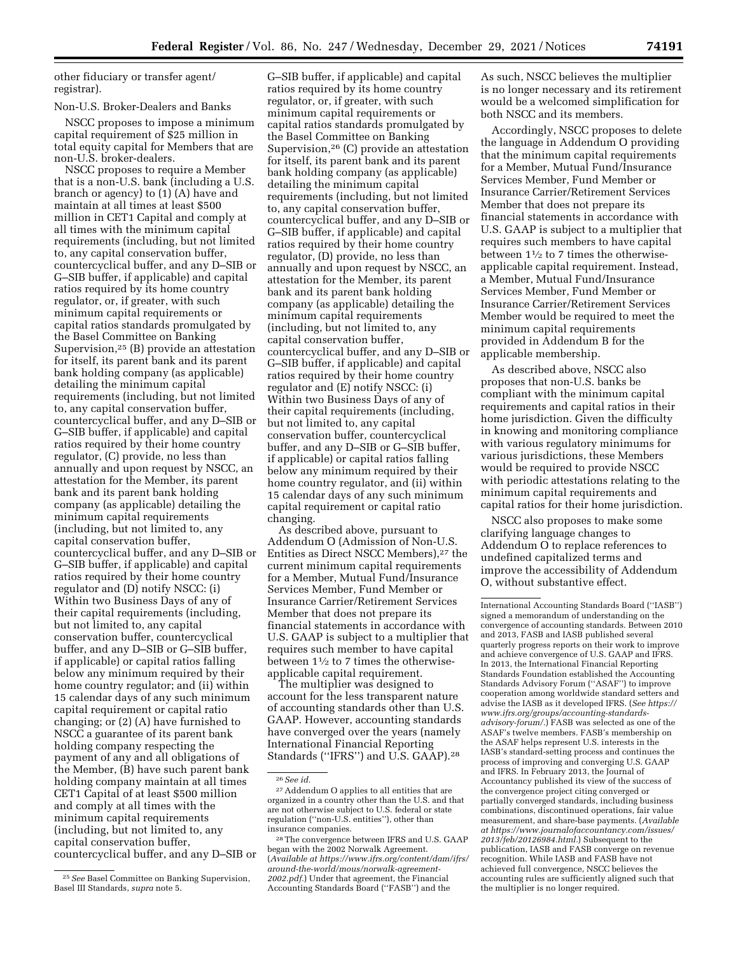other fiduciary or transfer agent/ registrar).

# Non-U.S. Broker-Dealers and Banks

NSCC proposes to impose a minimum capital requirement of \$25 million in total equity capital for Members that are non-U.S. broker-dealers.

NSCC proposes to require a Member that is a non-U.S. bank (including a U.S. branch or agency) to (1) (A) have and maintain at all times at least \$500 million in CET1 Capital and comply at all times with the minimum capital requirements (including, but not limited to, any capital conservation buffer, countercyclical buffer, and any D–SIB or G–SIB buffer, if applicable) and capital ratios required by its home country regulator, or, if greater, with such minimum capital requirements or capital ratios standards promulgated by the Basel Committee on Banking Supervision,25 (B) provide an attestation for itself, its parent bank and its parent bank holding company (as applicable) detailing the minimum capital requirements (including, but not limited to, any capital conservation buffer, countercyclical buffer, and any D–SIB or G–SIB buffer, if applicable) and capital ratios required by their home country regulator, (C) provide, no less than annually and upon request by NSCC, an attestation for the Member, its parent bank and its parent bank holding company (as applicable) detailing the minimum capital requirements (including, but not limited to, any capital conservation buffer, countercyclical buffer, and any D–SIB or G–SIB buffer, if applicable) and capital ratios required by their home country regulator and (D) notify NSCC: (i) Within two Business Days of any of their capital requirements (including, but not limited to, any capital conservation buffer, countercyclical buffer, and any D–SIB or G–SIB buffer, if applicable) or capital ratios falling below any minimum required by their home country regulator; and (ii) within 15 calendar days of any such minimum capital requirement or capital ratio changing; or (2) (A) have furnished to NSCC a guarantee of its parent bank holding company respecting the payment of any and all obligations of the Member, (B) have such parent bank holding company maintain at all times CET1 Capital of at least \$500 million and comply at all times with the minimum capital requirements (including, but not limited to, any capital conservation buffer,

countercyclical buffer, and any D–SIB or

G–SIB buffer, if applicable) and capital ratios required by its home country regulator, or, if greater, with such minimum capital requirements or capital ratios standards promulgated by the Basel Committee on Banking Supervision,26 (C) provide an attestation for itself, its parent bank and its parent bank holding company (as applicable) detailing the minimum capital requirements (including, but not limited to, any capital conservation buffer, countercyclical buffer, and any D–SIB or G–SIB buffer, if applicable) and capital ratios required by their home country regulator, (D) provide, no less than annually and upon request by NSCC, an attestation for the Member, its parent bank and its parent bank holding company (as applicable) detailing the minimum capital requirements (including, but not limited to, any capital conservation buffer, countercyclical buffer, and any D–SIB or G–SIB buffer, if applicable) and capital ratios required by their home country regulator and (E) notify NSCC: (i) Within two Business Days of any of their capital requirements (including, but not limited to, any capital conservation buffer, countercyclical buffer, and any D–SIB or G–SIB buffer, if applicable) or capital ratios falling below any minimum required by their home country regulator, and (ii) within 15 calendar days of any such minimum capital requirement or capital ratio changing.

As described above, pursuant to Addendum O (Admission of Non-U.S. Entities as Direct NSCC Members),27 the current minimum capital requirements for a Member, Mutual Fund/Insurance Services Member, Fund Member or Insurance Carrier/Retirement Services Member that does not prepare its financial statements in accordance with U.S. GAAP is subject to a multiplier that requires such member to have capital between 11⁄2 to 7 times the otherwiseapplicable capital requirement.

The multiplier was designed to account for the less transparent nature of accounting standards other than U.S. GAAP. However, accounting standards have converged over the years (namely International Financial Reporting Standards (''IFRS'') and U.S. GAAP).28

26*See id.* 

As such, NSCC believes the multiplier is no longer necessary and its retirement would be a welcomed simplification for both NSCC and its members.

Accordingly, NSCC proposes to delete the language in Addendum O providing that the minimum capital requirements for a Member, Mutual Fund/Insurance Services Member, Fund Member or Insurance Carrier/Retirement Services Member that does not prepare its financial statements in accordance with U.S. GAAP is subject to a multiplier that requires such members to have capital between  $1\frac{1}{2}$  to 7 times the otherwiseapplicable capital requirement. Instead, a Member, Mutual Fund/Insurance Services Member, Fund Member or Insurance Carrier/Retirement Services Member would be required to meet the minimum capital requirements provided in Addendum B for the applicable membership.

As described above, NSCC also proposes that non-U.S. banks be compliant with the minimum capital requirements and capital ratios in their home jurisdiction. Given the difficulty in knowing and monitoring compliance with various regulatory minimums for various jurisdictions, these Members would be required to provide NSCC with periodic attestations relating to the minimum capital requirements and capital ratios for their home jurisdiction.

NSCC also proposes to make some clarifying language changes to Addendum O to replace references to undefined capitalized terms and improve the accessibility of Addendum O, without substantive effect.

<sup>25</sup>*See* Basel Committee on Banking Supervision, Basel III Standards, *supra* note 5.

<sup>27</sup>Addendum O applies to all entities that are organized in a country other than the U.S. and that are not otherwise subject to U.S. federal or state regulation (''non-U.S. entities''), other than insurance companies.

<sup>28</sup>The convergence between IFRS and U.S. GAAP began with the 2002 Norwalk Agreement. (*Available at [https://www.ifrs.org/content/dam/ifrs/](https://www.ifrs.org/content/dam/ifrs/around-the-world/mous/norwalk-agreement-2002.pdf)  [around-the-world/mous/norwalk-agreement-](https://www.ifrs.org/content/dam/ifrs/around-the-world/mous/norwalk-agreement-2002.pdf)[2002.pdf.](https://www.ifrs.org/content/dam/ifrs/around-the-world/mous/norwalk-agreement-2002.pdf)*) Under that agreement, the Financial Accounting Standards Board (''FASB'') and the

International Accounting Standards Board (''IASB'') signed a memorandum of understanding on the convergence of accounting standards. Between 2010 and 2013, FASB and IASB published several quarterly progress reports on their work to improve and achieve convergence of U.S. GAAP and IFRS. In 2013, the International Financial Reporting Standards Foundation established the Accounting Standards Advisory Forum (''ASAF'') to improve cooperation among worldwide standard setters and advise the IASB as it developed IFRS. (*See [https://](https://www.ifrs.org/groups/accounting-standards-advisory-forum/) [www.ifrs.org/groups/accounting-standards](https://www.ifrs.org/groups/accounting-standards-advisory-forum/)[advisory-forum/.](https://www.ifrs.org/groups/accounting-standards-advisory-forum/)*) FASB was selected as one of the ASAF's twelve members. FASB's membership on the ASAF helps represent U.S. interests in the IASB's standard-setting process and continues the process of improving and converging U.S. GAAP and IFRS. In February 2013, the Journal of Accountancy published its view of the success of the convergence project citing converged or partially converged standards, including business combinations, discontinued operations, fair value measurement, and share-base payments. (*Available at [https://www.journalofaccountancy.com/issues/](https://www.journalofaccountancy.com/issues/2013/feb/20126984.html)  [2013/feb/20126984.html.](https://www.journalofaccountancy.com/issues/2013/feb/20126984.html)*) Subsequent to the publication, IASB and FASB converge on revenue recognition. While IASB and FASB have not achieved full convergence, NSCC believes the accounting rules are sufficiently aligned such that the multiplier is no longer required.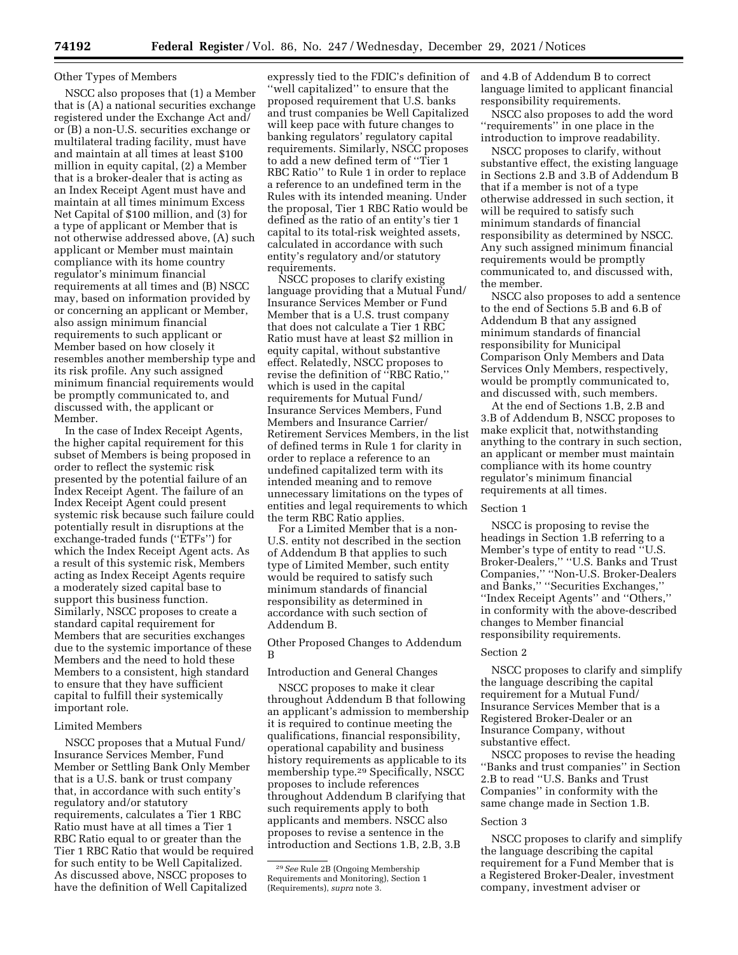## Other Types of Members

NSCC also proposes that (1) a Member that is (A) a national securities exchange registered under the Exchange Act and/ or (B) a non-U.S. securities exchange or multilateral trading facility, must have and maintain at all times at least \$100 million in equity capital, (2) a Member that is a broker-dealer that is acting as an Index Receipt Agent must have and maintain at all times minimum Excess Net Capital of \$100 million, and (3) for a type of applicant or Member that is not otherwise addressed above, (A) such applicant or Member must maintain compliance with its home country regulator's minimum financial requirements at all times and (B) NSCC may, based on information provided by or concerning an applicant or Member, also assign minimum financial requirements to such applicant or Member based on how closely it resembles another membership type and its risk profile. Any such assigned minimum financial requirements would be promptly communicated to, and discussed with, the applicant or Member.

In the case of Index Receipt Agents, the higher capital requirement for this subset of Members is being proposed in order to reflect the systemic risk presented by the potential failure of an Index Receipt Agent. The failure of an Index Receipt Agent could present systemic risk because such failure could potentially result in disruptions at the exchange-traded funds (''ETFs'') for which the Index Receipt Agent acts. As a result of this systemic risk, Members acting as Index Receipt Agents require a moderately sized capital base to support this business function. Similarly, NSCC proposes to create a standard capital requirement for Members that are securities exchanges due to the systemic importance of these Members and the need to hold these Members to a consistent, high standard to ensure that they have sufficient capital to fulfill their systemically important role.

## Limited Members

NSCC proposes that a Mutual Fund/ Insurance Services Member, Fund Member or Settling Bank Only Member that is a U.S. bank or trust company that, in accordance with such entity's regulatory and/or statutory requirements, calculates a Tier 1 RBC Ratio must have at all times a Tier 1 RBC Ratio equal to or greater than the Tier 1 RBC Ratio that would be required for such entity to be Well Capitalized. As discussed above, NSCC proposes to have the definition of Well Capitalized

expressly tied to the FDIC's definition of 'well capitalized'' to ensure that the proposed requirement that U.S. banks and trust companies be Well Capitalized will keep pace with future changes to banking regulators' regulatory capital requirements. Similarly, NSCC proposes to add a new defined term of ''Tier 1 RBC Ratio'' to Rule 1 in order to replace a reference to an undefined term in the Rules with its intended meaning. Under the proposal, Tier 1 RBC Ratio would be defined as the ratio of an entity's tier 1 capital to its total-risk weighted assets, calculated in accordance with such entity's regulatory and/or statutory requirements.

NSCC proposes to clarify existing language providing that a Mutual Fund/ Insurance Services Member or Fund Member that is a U.S. trust company that does not calculate a Tier 1 RBC Ratio must have at least \$2 million in equity capital, without substantive effect. Relatedly, NSCC proposes to revise the definition of ''RBC Ratio,'' which is used in the capital requirements for Mutual Fund/ Insurance Services Members, Fund Members and Insurance Carrier/ Retirement Services Members, in the list of defined terms in Rule 1 for clarity in order to replace a reference to an undefined capitalized term with its intended meaning and to remove unnecessary limitations on the types of entities and legal requirements to which the term RBC Ratio applies.

For a Limited Member that is a non-U.S. entity not described in the section of Addendum B that applies to such type of Limited Member, such entity would be required to satisfy such minimum standards of financial responsibility as determined in accordance with such section of Addendum B.

Other Proposed Changes to Addendum B

Introduction and General Changes

NSCC proposes to make it clear throughout Addendum B that following an applicant's admission to membership it is required to continue meeting the qualifications, financial responsibility, operational capability and business history requirements as applicable to its membership type.29 Specifically, NSCC proposes to include references throughout Addendum B clarifying that such requirements apply to both applicants and members. NSCC also proposes to revise a sentence in the introduction and Sections 1.B, 2.B, 3.B

and 4.B of Addendum B to correct language limited to applicant financial responsibility requirements.

NSCC also proposes to add the word ''requirements'' in one place in the introduction to improve readability.

NSCC proposes to clarify, without substantive effect, the existing language in Sections 2.B and 3.B of Addendum B that if a member is not of a type otherwise addressed in such section, it will be required to satisfy such minimum standards of financial responsibility as determined by NSCC. Any such assigned minimum financial requirements would be promptly communicated to, and discussed with, the member.

NSCC also proposes to add a sentence to the end of Sections 5.B and 6.B of Addendum B that any assigned minimum standards of financial responsibility for Municipal Comparison Only Members and Data Services Only Members, respectively, would be promptly communicated to, and discussed with, such members.

At the end of Sections 1.B, 2.B and 3.B of Addendum B, NSCC proposes to make explicit that, notwithstanding anything to the contrary in such section, an applicant or member must maintain compliance with its home country regulator's minimum financial requirements at all times.

#### Section 1

NSCC is proposing to revise the headings in Section 1.B referring to a Member's type of entity to read ''U.S. Broker-Dealers,'' ''U.S. Banks and Trust Companies,'' ''Non-U.S. Broker-Dealers and Banks,'' ''Securities Exchanges,'' ''Index Receipt Agents'' and ''Others,'' in conformity with the above-described changes to Member financial responsibility requirements.

#### Section 2

NSCC proposes to clarify and simplify the language describing the capital requirement for a Mutual Fund/ Insurance Services Member that is a Registered Broker-Dealer or an Insurance Company, without substantive effect.

NSCC proposes to revise the heading ''Banks and trust companies'' in Section 2.B to read ''U.S. Banks and Trust Companies'' in conformity with the same change made in Section 1.B.

## Section 3

NSCC proposes to clarify and simplify the language describing the capital requirement for a Fund Member that is a Registered Broker-Dealer, investment company, investment adviser or

<sup>29</sup>*See* Rule 2B (Ongoing Membership Requirements and Monitoring), Section 1 (Requirements), *supra* note 3.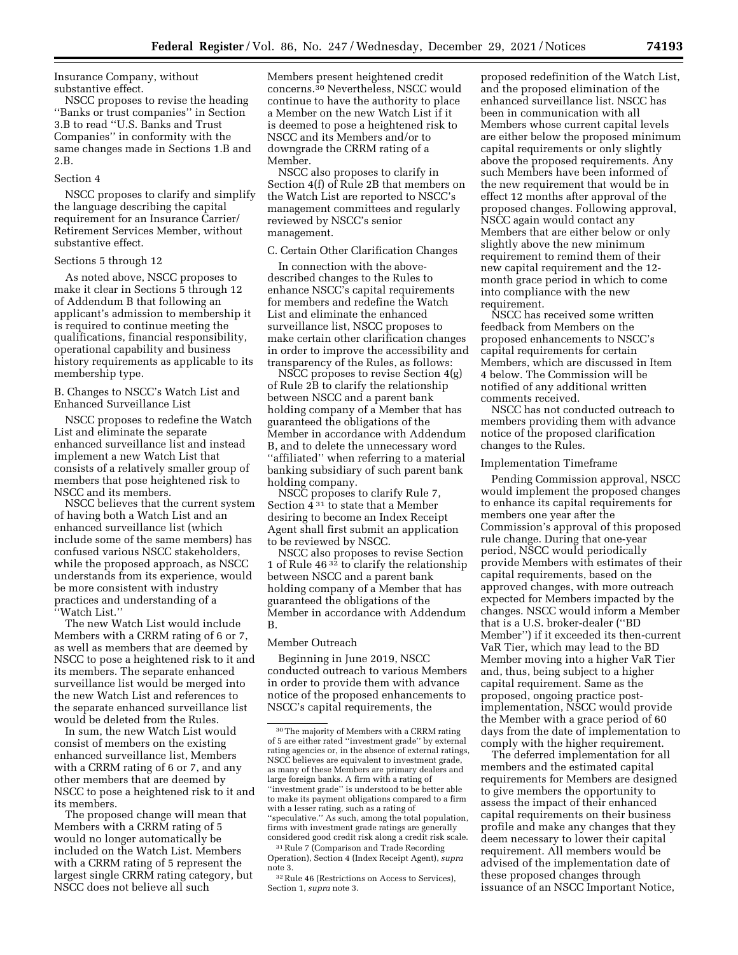Insurance Company, without substantive effect.

NSCC proposes to revise the heading ''Banks or trust companies'' in Section 3.B to read ''U.S. Banks and Trust Companies'' in conformity with the same changes made in Sections 1.B and 2.B.

#### Section 4

NSCC proposes to clarify and simplify the language describing the capital requirement for an Insurance Carrier/ Retirement Services Member, without substantive effect.

## Sections 5 through 12

As noted above, NSCC proposes to make it clear in Sections 5 through 12 of Addendum B that following an applicant's admission to membership it is required to continue meeting the qualifications, financial responsibility, operational capability and business history requirements as applicable to its membership type.

B. Changes to NSCC's Watch List and Enhanced Surveillance List

NSCC proposes to redefine the Watch List and eliminate the separate enhanced surveillance list and instead implement a new Watch List that consists of a relatively smaller group of members that pose heightened risk to NSCC and its members.

NSCC believes that the current system of having both a Watch List and an enhanced surveillance list (which include some of the same members) has confused various NSCC stakeholders, while the proposed approach, as NSCC understands from its experience, would be more consistent with industry practices and understanding of a 'Watch List.''

The new Watch List would include Members with a CRRM rating of 6 or 7, as well as members that are deemed by NSCC to pose a heightened risk to it and its members. The separate enhanced surveillance list would be merged into the new Watch List and references to the separate enhanced surveillance list would be deleted from the Rules.

In sum, the new Watch List would consist of members on the existing enhanced surveillance list, Members with a CRRM rating of 6 or 7, and any other members that are deemed by NSCC to pose a heightened risk to it and its members.

The proposed change will mean that Members with a CRRM rating of 5 would no longer automatically be included on the Watch List. Members with a CRRM rating of 5 represent the largest single CRRM rating category, but NSCC does not believe all such

Members present heightened credit concerns.30 Nevertheless, NSCC would continue to have the authority to place a Member on the new Watch List if it is deemed to pose a heightened risk to NSCC and its Members and/or to downgrade the CRRM rating of a Member.

NSCC also proposes to clarify in Section 4(f) of Rule 2B that members on the Watch List are reported to NSCC's management committees and regularly reviewed by NSCC's senior management.

## C. Certain Other Clarification Changes

In connection with the abovedescribed changes to the Rules to enhance NSCC's capital requirements for members and redefine the Watch List and eliminate the enhanced surveillance list, NSCC proposes to make certain other clarification changes in order to improve the accessibility and transparency of the Rules, as follows:

NSCC proposes to revise Section 4(g) of Rule 2B to clarify the relationship between NSCC and a parent bank holding company of a Member that has guaranteed the obligations of the Member in accordance with Addendum B, and to delete the unnecessary word ''affiliated'' when referring to a material banking subsidiary of such parent bank holding company.

NSCC proposes to clarify Rule 7, Section 4 31 to state that a Member desiring to become an Index Receipt Agent shall first submit an application to be reviewed by NSCC.

NSCC also proposes to revise Section 1 of Rule 46 32 to clarify the relationship between NSCC and a parent bank holding company of a Member that has guaranteed the obligations of the Member in accordance with Addendum B.

#### Member Outreach

Beginning in June 2019, NSCC conducted outreach to various Members in order to provide them with advance notice of the proposed enhancements to NSCC's capital requirements, the

proposed redefinition of the Watch List, and the proposed elimination of the enhanced surveillance list. NSCC has been in communication with all Members whose current capital levels are either below the proposed minimum capital requirements or only slightly above the proposed requirements. Any such Members have been informed of the new requirement that would be in effect 12 months after approval of the proposed changes. Following approval, NSCC again would contact any Members that are either below or only slightly above the new minimum requirement to remind them of their new capital requirement and the 12 month grace period in which to come into compliance with the new requirement.

NSCC has received some written feedback from Members on the proposed enhancements to NSCC's capital requirements for certain Members, which are discussed in Item 4 below. The Commission will be notified of any additional written comments received.

NSCC has not conducted outreach to members providing them with advance notice of the proposed clarification changes to the Rules.

#### Implementation Timeframe

Pending Commission approval, NSCC would implement the proposed changes to enhance its capital requirements for members one year after the Commission's approval of this proposed rule change. During that one-year period, NSCC would periodically provide Members with estimates of their capital requirements, based on the approved changes, with more outreach expected for Members impacted by the changes. NSCC would inform a Member that is a U.S. broker-dealer (''BD Member'') if it exceeded its then-current VaR Tier, which may lead to the BD Member moving into a higher VaR Tier and, thus, being subject to a higher capital requirement. Same as the proposed, ongoing practice postimplementation, NSCC would provide the Member with a grace period of 60 days from the date of implementation to comply with the higher requirement.

The deferred implementation for all members and the estimated capital requirements for Members are designed to give members the opportunity to assess the impact of their enhanced capital requirements on their business profile and make any changes that they deem necessary to lower their capital requirement. All members would be advised of the implementation date of these proposed changes through issuance of an NSCC Important Notice,

<sup>30</sup>The majority of Members with a CRRM rating of 5 are either rated ''investment grade'' by external rating agencies or, in the absence of external ratings, NSCC believes are equivalent to investment grade, as many of these Members are primary dealers and large foreign banks. A firm with a rating of ''investment grade'' is understood to be better able to make its payment obligations compared to a firm with a lesser rating, such as a rating of ''speculative.'' As such, among the total population, firms with investment grade ratings are generally considered good credit risk along a credit risk scale. 31Rule 7 (Comparison and Trade Recording

Operation), Section 4 (Index Receipt Agent), *supra*  note 3.

<sup>32</sup>Rule 46 (Restrictions on Access to Services), Section 1, *supra* note 3.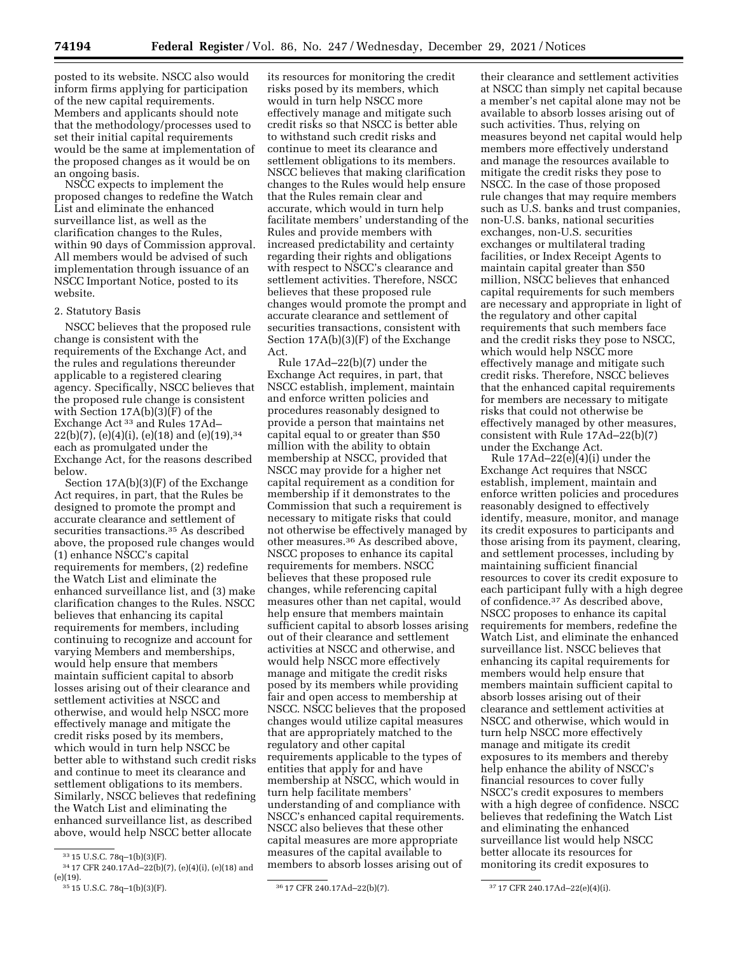posted to its website. NSCC also would inform firms applying for participation of the new capital requirements. Members and applicants should note that the methodology/processes used to set their initial capital requirements would be the same at implementation of the proposed changes as it would be on an ongoing basis.

NSCC expects to implement the proposed changes to redefine the Watch List and eliminate the enhanced surveillance list, as well as the clarification changes to the Rules, within 90 days of Commission approval. All members would be advised of such implementation through issuance of an NSCC Important Notice, posted to its website.

#### 2. Statutory Basis

NSCC believes that the proposed rule change is consistent with the requirements of the Exchange Act, and the rules and regulations thereunder applicable to a registered clearing agency. Specifically, NSCC believes that the proposed rule change is consistent with Section 17A(b)(3)(F) of the Exchange Act 33 and Rules 17Ad–  $22(b)(7)$ , (e)(4)(i), (e)(18) and (e)(19),<sup>34</sup> each as promulgated under the Exchange Act, for the reasons described below.

Section 17A(b)(3)(F) of the Exchange Act requires, in part, that the Rules be designed to promote the prompt and accurate clearance and settlement of securities transactions.<sup>35</sup> As described above, the proposed rule changes would (1) enhance NSCC's capital requirements for members, (2) redefine the Watch List and eliminate the enhanced surveillance list, and (3) make clarification changes to the Rules. NSCC believes that enhancing its capital requirements for members, including continuing to recognize and account for varying Members and memberships, would help ensure that members maintain sufficient capital to absorb losses arising out of their clearance and settlement activities at NSCC and otherwise, and would help NSCC more effectively manage and mitigate the credit risks posed by its members, which would in turn help NSCC be better able to withstand such credit risks and continue to meet its clearance and settlement obligations to its members. Similarly, NSCC believes that redefining the Watch List and eliminating the enhanced surveillance list, as described above, would help NSCC better allocate

its resources for monitoring the credit risks posed by its members, which would in turn help NSCC more effectively manage and mitigate such credit risks so that NSCC is better able to withstand such credit risks and continue to meet its clearance and settlement obligations to its members. NSCC believes that making clarification changes to the Rules would help ensure that the Rules remain clear and accurate, which would in turn help facilitate members' understanding of the Rules and provide members with increased predictability and certainty regarding their rights and obligations with respect to NSCC's clearance and settlement activities. Therefore, NSCC believes that these proposed rule changes would promote the prompt and accurate clearance and settlement of securities transactions, consistent with Section 17A(b)(3)(F) of the Exchange Act.

Rule 17Ad–22(b)(7) under the Exchange Act requires, in part, that NSCC establish, implement, maintain and enforce written policies and procedures reasonably designed to provide a person that maintains net capital equal to or greater than \$50 million with the ability to obtain membership at NSCC, provided that NSCC may provide for a higher net capital requirement as a condition for membership if it demonstrates to the Commission that such a requirement is necessary to mitigate risks that could not otherwise be effectively managed by other measures.36 As described above, NSCC proposes to enhance its capital requirements for members. NSCC believes that these proposed rule changes, while referencing capital measures other than net capital, would help ensure that members maintain sufficient capital to absorb losses arising out of their clearance and settlement activities at NSCC and otherwise, and would help NSCC more effectively manage and mitigate the credit risks posed by its members while providing fair and open access to membership at NSCC. NSCC believes that the proposed changes would utilize capital measures that are appropriately matched to the regulatory and other capital requirements applicable to the types of entities that apply for and have membership at NSCC, which would in turn help facilitate members' understanding of and compliance with NSCC's enhanced capital requirements. NSCC also believes that these other capital measures are more appropriate measures of the capital available to members to absorb losses arising out of

their clearance and settlement activities at NSCC than simply net capital because a member's net capital alone may not be available to absorb losses arising out of such activities. Thus, relying on measures beyond net capital would help members more effectively understand and manage the resources available to mitigate the credit risks they pose to NSCC. In the case of those proposed rule changes that may require members such as U.S. banks and trust companies, non-U.S. banks, national securities exchanges, non-U.S. securities exchanges or multilateral trading facilities, or Index Receipt Agents to maintain capital greater than \$50 million, NSCC believes that enhanced capital requirements for such members are necessary and appropriate in light of the regulatory and other capital requirements that such members face and the credit risks they pose to NSCC, which would help NSCC more effectively manage and mitigate such credit risks. Therefore, NSCC believes that the enhanced capital requirements for members are necessary to mitigate risks that could not otherwise be effectively managed by other measures, consistent with Rule 17Ad–22(b)(7) under the Exchange Act.

Rule  $17\text{Ad}-22(e)(4)(i)$  under the Exchange Act requires that NSCC establish, implement, maintain and enforce written policies and procedures reasonably designed to effectively identify, measure, monitor, and manage its credit exposures to participants and those arising from its payment, clearing, and settlement processes, including by maintaining sufficient financial resources to cover its credit exposure to each participant fully with a high degree of confidence.37 As described above, NSCC proposes to enhance its capital requirements for members, redefine the Watch List, and eliminate the enhanced surveillance list. NSCC believes that enhancing its capital requirements for members would help ensure that members maintain sufficient capital to absorb losses arising out of their clearance and settlement activities at NSCC and otherwise, which would in turn help NSCC more effectively manage and mitigate its credit exposures to its members and thereby help enhance the ability of NSCC's financial resources to cover fully NSCC's credit exposures to members with a high degree of confidence. NSCC believes that redefining the Watch List and eliminating the enhanced surveillance list would help NSCC better allocate its resources for monitoring its credit exposures to

<sup>33</sup> 15 U.S.C. 78q–1(b)(3)(F).

 $^{34}\,17$  CFR 240.17Ad–22(b)(7), (e)(4)(i), (e)(18) and (e)(19).

<sup>35</sup> 15 U.S.C. 78q–1(b)(3)(F). 36 17 CFR 240.17Ad–22(b)(7). 37 17 CFR 240.17Ad–22(e)(4)(i).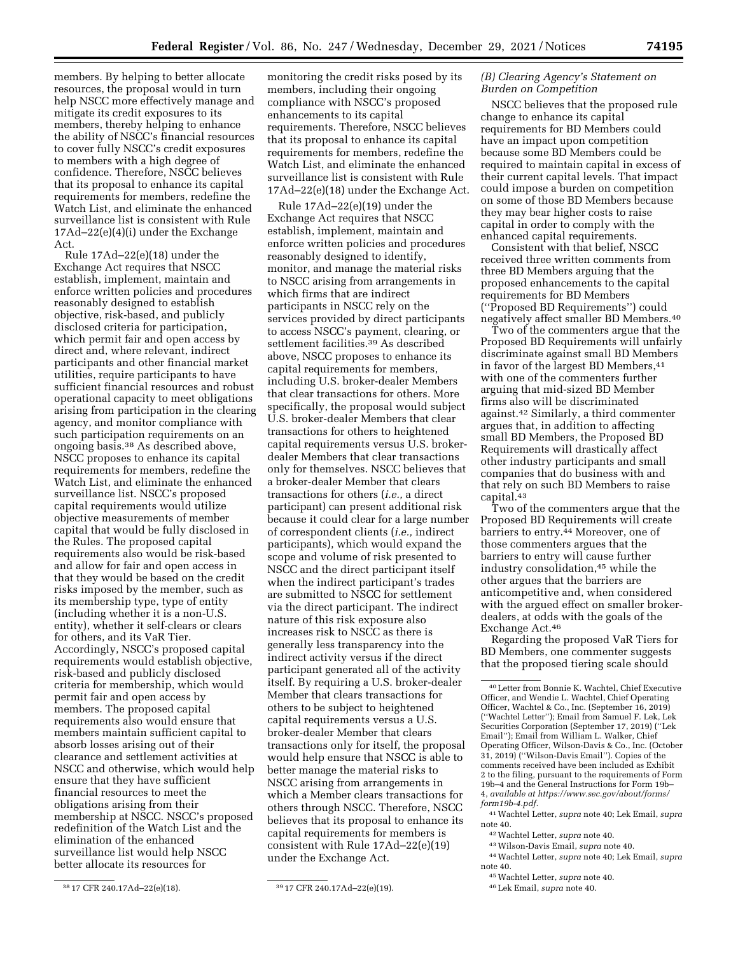members. By helping to better allocate resources, the proposal would in turn help NSCC more effectively manage and mitigate its credit exposures to its members, thereby helping to enhance the ability of NSCC's financial resources to cover fully NSCC's credit exposures to members with a high degree of confidence. Therefore, NSCC believes that its proposal to enhance its capital requirements for members, redefine the Watch List, and eliminate the enhanced surveillance list is consistent with Rule 17Ad–22(e)(4)(i) under the Exchange Act.

Rule 17Ad–22(e)(18) under the Exchange Act requires that NSCC establish, implement, maintain and enforce written policies and procedures reasonably designed to establish objective, risk-based, and publicly disclosed criteria for participation, which permit fair and open access by direct and, where relevant, indirect participants and other financial market utilities, require participants to have sufficient financial resources and robust operational capacity to meet obligations arising from participation in the clearing agency, and monitor compliance with such participation requirements on an ongoing basis.38 As described above, NSCC proposes to enhance its capital requirements for members, redefine the Watch List, and eliminate the enhanced surveillance list. NSCC's proposed capital requirements would utilize objective measurements of member capital that would be fully disclosed in the Rules. The proposed capital requirements also would be risk-based and allow for fair and open access in that they would be based on the credit risks imposed by the member, such as its membership type, type of entity (including whether it is a non-U.S. entity), whether it self-clears or clears for others, and its VaR Tier. Accordingly, NSCC's proposed capital requirements would establish objective, risk-based and publicly disclosed criteria for membership, which would permit fair and open access by members. The proposed capital requirements also would ensure that members maintain sufficient capital to absorb losses arising out of their clearance and settlement activities at NSCC and otherwise, which would help ensure that they have sufficient financial resources to meet the obligations arising from their membership at NSCC. NSCC's proposed redefinition of the Watch List and the elimination of the enhanced surveillance list would help NSCC better allocate its resources for

monitoring the credit risks posed by its members, including their ongoing compliance with NSCC's proposed enhancements to its capital requirements. Therefore, NSCC believes that its proposal to enhance its capital requirements for members, redefine the Watch List, and eliminate the enhanced surveillance list is consistent with Rule 17Ad–22(e)(18) under the Exchange Act.

Rule 17Ad–22(e)(19) under the Exchange Act requires that NSCC establish, implement, maintain and enforce written policies and procedures reasonably designed to identify, monitor, and manage the material risks to NSCC arising from arrangements in which firms that are indirect participants in NSCC rely on the services provided by direct participants to access NSCC's payment, clearing, or settlement facilities.39 As described above, NSCC proposes to enhance its capital requirements for members, including U.S. broker-dealer Members that clear transactions for others. More specifically, the proposal would subject U.S. broker-dealer Members that clear transactions for others to heightened capital requirements versus U.S. brokerdealer Members that clear transactions only for themselves. NSCC believes that a broker-dealer Member that clears transactions for others (*i.e.,* a direct participant) can present additional risk because it could clear for a large number of correspondent clients (*i.e.,* indirect participants), which would expand the scope and volume of risk presented to NSCC and the direct participant itself when the indirect participant's trades are submitted to NSCC for settlement via the direct participant. The indirect nature of this risk exposure also increases risk to NSCC as there is generally less transparency into the indirect activity versus if the direct participant generated all of the activity itself. By requiring a U.S. broker-dealer Member that clears transactions for others to be subject to heightened capital requirements versus a U.S. broker-dealer Member that clears transactions only for itself, the proposal would help ensure that NSCC is able to better manage the material risks to NSCC arising from arrangements in which a Member clears transactions for others through NSCC. Therefore, NSCC believes that its proposal to enhance its capital requirements for members is consistent with Rule 17Ad–22(e)(19) under the Exchange Act.

## *(B) Clearing Agency's Statement on Burden on Competition*

NSCC believes that the proposed rule change to enhance its capital requirements for BD Members could have an impact upon competition because some BD Members could be required to maintain capital in excess of their current capital levels. That impact could impose a burden on competition on some of those BD Members because they may bear higher costs to raise capital in order to comply with the enhanced capital requirements.

Consistent with that belief, NSCC received three written comments from three BD Members arguing that the proposed enhancements to the capital requirements for BD Members (''Proposed BD Requirements'') could negatively affect smaller BD Members.40

Two of the commenters argue that the Proposed BD Requirements will unfairly discriminate against small BD Members in favor of the largest BD Members,  $41$ with one of the commenters further arguing that mid-sized BD Member firms also will be discriminated against.42 Similarly, a third commenter argues that, in addition to affecting small BD Members, the Proposed BD Requirements will drastically affect other industry participants and small companies that do business with and that rely on such BD Members to raise capital.43

Two of the commenters argue that the Proposed BD Requirements will create barriers to entry.<sup>44</sup> Moreover, one of those commenters argues that the barriers to entry will cause further industry consolidation,45 while the other argues that the barriers are anticompetitive and, when considered with the argued effect on smaller brokerdealers, at odds with the goals of the Exchange Act.46

Regarding the proposed VaR Tiers for BD Members, one commenter suggests that the proposed tiering scale should

<sup>38</sup> 17 CFR 240.17Ad–22(e)(18). 39 17 CFR 240.17Ad–22(e)(19).

<sup>40</sup>Letter from Bonnie K. Wachtel, Chief Executive Officer, and Wendie L. Wachtel, Chief Operating Officer, Wachtel & Co., Inc. (September 16, 2019) (''Wachtel Letter''); Email from Samuel F. Lek, Lek Securities Corporation (September 17, 2019) (''Lek Email''); Email from William L. Walker, Chief Operating Officer, Wilson-Davis & Co., Inc. (October 31, 2019) (''Wilson-Davis Email''). Copies of the comments received have been included as Exhibit 2 to the filing, pursuant to the requirements of Form 19b–4 and the General Instructions for Form 19b– 4, *available at [https://www.sec.gov/about/forms/](https://www.sec.gov/about/forms/form19b-4.pdf)  [form19b-4.pdf.](https://www.sec.gov/about/forms/form19b-4.pdf)* 

<sup>41</sup>Wachtel Letter, *supra* note 40; Lek Email, *supra*  note 40.

<sup>42</sup>Wachtel Letter, *supra* note 40.

<sup>43</sup>Wilson-Davis Email, *supra* note 40.

<sup>44</sup>Wachtel Letter, *supra* note 40; Lek Email, *supra*  note 40.

<sup>45</sup>Wachtel Letter, *supra* note 40.

<sup>46</sup>Lek Email, *supra* note 40.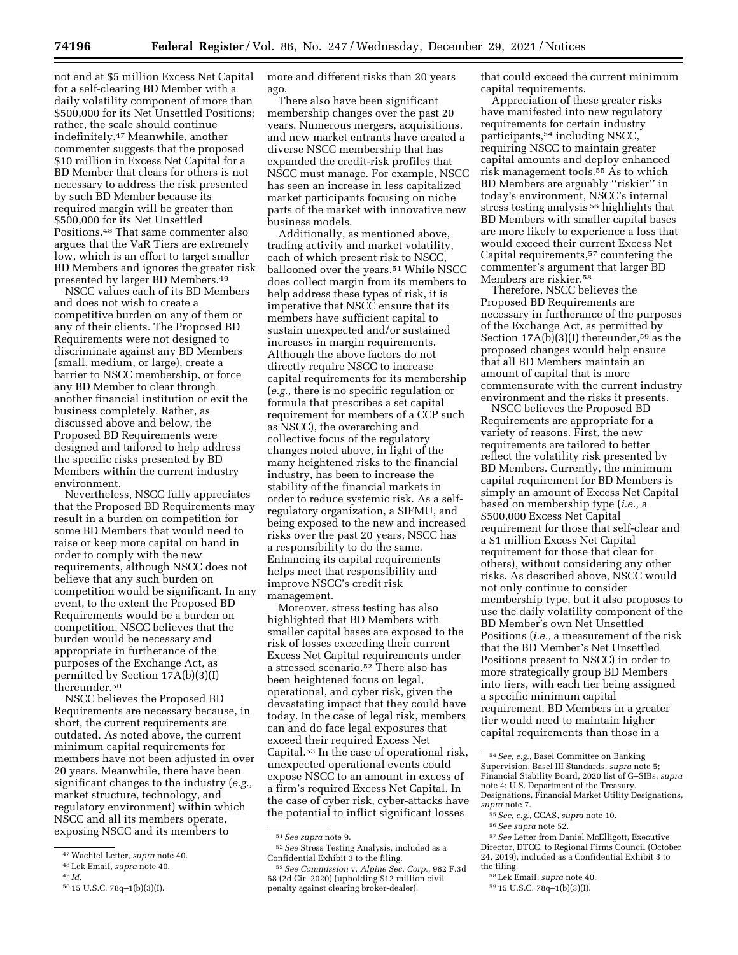not end at \$5 million Excess Net Capital for a self-clearing BD Member with a daily volatility component of more than \$500,000 for its Net Unsettled Positions; rather, the scale should continue indefinitely.47 Meanwhile, another commenter suggests that the proposed \$10 million in Excess Net Capital for a BD Member that clears for others is not necessary to address the risk presented by such BD Member because its required margin will be greater than \$500,000 for its Net Unsettled Positions.48 That same commenter also argues that the VaR Tiers are extremely low, which is an effort to target smaller BD Members and ignores the greater risk presented by larger BD Members.49

NSCC values each of its BD Members and does not wish to create a competitive burden on any of them or any of their clients. The Proposed BD Requirements were not designed to discriminate against any BD Members (small, medium, or large), create a barrier to NSCC membership, or force any BD Member to clear through another financial institution or exit the business completely. Rather, as discussed above and below, the Proposed BD Requirements were designed and tailored to help address the specific risks presented by BD Members within the current industry environment.

Nevertheless, NSCC fully appreciates that the Proposed BD Requirements may result in a burden on competition for some BD Members that would need to raise or keep more capital on hand in order to comply with the new requirements, although NSCC does not believe that any such burden on competition would be significant. In any event, to the extent the Proposed BD Requirements would be a burden on competition, NSCC believes that the burden would be necessary and appropriate in furtherance of the purposes of the Exchange Act, as permitted by Section 17A(b)(3)(I) thereunder.50

NSCC believes the Proposed BD Requirements are necessary because, in short, the current requirements are outdated. As noted above, the current minimum capital requirements for members have not been adjusted in over 20 years. Meanwhile, there have been significant changes to the industry (*e.g.,*  market structure, technology, and regulatory environment) within which NSCC and all its members operate, exposing NSCC and its members to

more and different risks than 20 years ago.

There also have been significant membership changes over the past 20 years. Numerous mergers, acquisitions, and new market entrants have created a diverse NSCC membership that has expanded the credit-risk profiles that NSCC must manage. For example, NSCC has seen an increase in less capitalized market participants focusing on niche parts of the market with innovative new business models.

Additionally, as mentioned above, trading activity and market volatility, each of which present risk to NSCC, ballooned over the years.<sup>51</sup> While NSCC does collect margin from its members to help address these types of risk, it is imperative that NSCC ensure that its members have sufficient capital to sustain unexpected and/or sustained increases in margin requirements. Although the above factors do not directly require NSCC to increase capital requirements for its membership (*e.g.,* there is no specific regulation or formula that prescribes a set capital requirement for members of a CCP such as NSCC), the overarching and collective focus of the regulatory changes noted above, in light of the many heightened risks to the financial industry, has been to increase the stability of the financial markets in order to reduce systemic risk. As a selfregulatory organization, a SIFMU, and being exposed to the new and increased risks over the past 20 years, NSCC has a responsibility to do the same. Enhancing its capital requirements helps meet that responsibility and improve NSCC's credit risk management.

Moreover, stress testing has also highlighted that BD Members with smaller capital bases are exposed to the risk of losses exceeding their current Excess Net Capital requirements under a stressed scenario.52 There also has been heightened focus on legal, operational, and cyber risk, given the devastating impact that they could have today. In the case of legal risk, members can and do face legal exposures that exceed their required Excess Net Capital.53 In the case of operational risk, unexpected operational events could expose NSCC to an amount in excess of a firm's required Excess Net Capital. In the case of cyber risk, cyber-attacks have the potential to inflict significant losses

that could exceed the current minimum capital requirements.

Appreciation of these greater risks have manifested into new regulatory requirements for certain industry participants,54 including NSCC, requiring NSCC to maintain greater capital amounts and deploy enhanced risk management tools.55 As to which BD Members are arguably ''riskier'' in today's environment, NSCC's internal stress testing analysis 56 highlights that BD Members with smaller capital bases are more likely to experience a loss that would exceed their current Excess Net Capital requirements,57 countering the commenter's argument that larger BD Members are riskier.<sup>58</sup>

Therefore, NSCC believes the Proposed BD Requirements are necessary in furtherance of the purposes of the Exchange Act, as permitted by Section  $17A(b)(3)(I)$  thereunder,<sup>59</sup> as the proposed changes would help ensure that all BD Members maintain an amount of capital that is more commensurate with the current industry environment and the risks it presents.

NSCC believes the Proposed BD Requirements are appropriate for a variety of reasons. First, the new requirements are tailored to better reflect the volatility risk presented by BD Members. Currently, the minimum capital requirement for BD Members is simply an amount of Excess Net Capital based on membership type (*i.e.,* a \$500,000 Excess Net Capital requirement for those that self-clear and a \$1 million Excess Net Capital requirement for those that clear for others), without considering any other risks. As described above, NSCC would not only continue to consider membership type, but it also proposes to use the daily volatility component of the BD Member's own Net Unsettled Positions (*i.e.,* a measurement of the risk that the BD Member's Net Unsettled Positions present to NSCC) in order to more strategically group BD Members into tiers, with each tier being assigned a specific minimum capital requirement. BD Members in a greater tier would need to maintain higher capital requirements than those in a

- 55*See, e.g.,* CCAS, *supra* note 10.
- 56*See supra* note 52.

<sup>47</sup>Wachtel Letter, *supra* note 40.

<sup>48</sup>Lek Email, *supra* note 40.

<sup>49</sup> *Id.* 

<sup>50</sup> 15 U.S.C. 78q–1(b)(3)(I).

<sup>51</sup>*See supra* note 9.

<sup>52</sup>*See* Stress Testing Analysis, included as a Confidential Exhibit 3 to the filing.

<sup>53</sup>*See Commission* v. *Alpine Sec. Corp.,* 982 F.3d 68 (2d Cir. 2020) (upholding \$12 million civil penalty against clearing broker-dealer).

<sup>54</sup>*See, e.g.,* Basel Committee on Banking Supervision, Basel III Standards, *supra* note 5; Financial Stability Board, 2020 list of G–SIBs, *supra*  note 4; U.S. Department of the Treasury, Designations, Financial Market Utility Designations, *supra* note 7.

<sup>57</sup>*See* Letter from Daniel McElligott, Executive Director, DTCC, to Regional Firms Council (October 24, 2019), included as a Confidential Exhibit 3 to the filing.

<sup>58</sup>Lek Email, *supra* note 40.

<sup>59</sup> 15 U.S.C. 78q–1(b)(3)(I).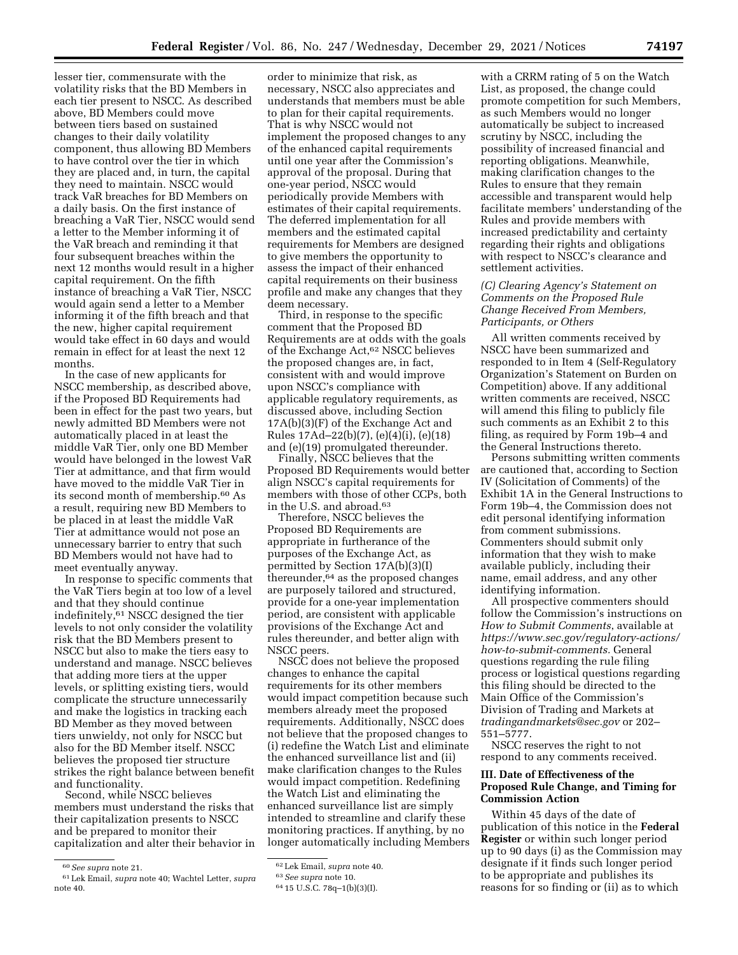lesser tier, commensurate with the volatility risks that the BD Members in each tier present to NSCC. As described above, BD Members could move between tiers based on sustained changes to their daily volatility component, thus allowing BD Members to have control over the tier in which they are placed and, in turn, the capital they need to maintain. NSCC would track VaR breaches for BD Members on a daily basis. On the first instance of breaching a VaR Tier, NSCC would send a letter to the Member informing it of the VaR breach and reminding it that four subsequent breaches within the next 12 months would result in a higher capital requirement. On the fifth instance of breaching a VaR Tier, NSCC would again send a letter to a Member informing it of the fifth breach and that the new, higher capital requirement would take effect in 60 days and would remain in effect for at least the next 12 months.

In the case of new applicants for NSCC membership, as described above, if the Proposed BD Requirements had been in effect for the past two years, but newly admitted BD Members were not automatically placed in at least the middle VaR Tier, only one BD Member would have belonged in the lowest VaR Tier at admittance, and that firm would have moved to the middle VaR Tier in its second month of membership.60 As a result, requiring new BD Members to be placed in at least the middle VaR Tier at admittance would not pose an unnecessary barrier to entry that such BD Members would not have had to meet eventually anyway.

In response to specific comments that the VaR Tiers begin at too low of a level and that they should continue indefinitely,61 NSCC designed the tier levels to not only consider the volatility risk that the BD Members present to NSCC but also to make the tiers easy to understand and manage. NSCC believes that adding more tiers at the upper levels, or splitting existing tiers, would complicate the structure unnecessarily and make the logistics in tracking each BD Member as they moved between tiers unwieldy, not only for NSCC but also for the BD Member itself. NSCC believes the proposed tier structure strikes the right balance between benefit and functionality.

Second, while NSCC believes members must understand the risks that their capitalization presents to NSCC and be prepared to monitor their capitalization and alter their behavior in

order to minimize that risk, as necessary, NSCC also appreciates and understands that members must be able to plan for their capital requirements. That is why NSCC would not implement the proposed changes to any of the enhanced capital requirements until one year after the Commission's approval of the proposal. During that one-year period, NSCC would periodically provide Members with estimates of their capital requirements. The deferred implementation for all members and the estimated capital requirements for Members are designed to give members the opportunity to assess the impact of their enhanced capital requirements on their business profile and make any changes that they deem necessary.

Third, in response to the specific comment that the Proposed BD Requirements are at odds with the goals of the Exchange Act,62 NSCC believes the proposed changes are, in fact, consistent with and would improve upon NSCC's compliance with applicable regulatory requirements, as discussed above, including Section 17A(b)(3)(F) of the Exchange Act and Rules 17Ad–22(b)(7), (e)(4)(i), (e)(18) and (e)(19) promulgated thereunder.

Finally, NSCC believes that the Proposed BD Requirements would better align NSCC's capital requirements for members with those of other CCPs, both in the U.S. and abroad.63

Therefore, NSCC believes the Proposed BD Requirements are appropriate in furtherance of the purposes of the Exchange Act, as permitted by Section 17A(b)(3)(I) thereunder,64 as the proposed changes are purposely tailored and structured, provide for a one-year implementation period, are consistent with applicable provisions of the Exchange Act and rules thereunder, and better align with NSCC peers.

NSCC does not believe the proposed changes to enhance the capital requirements for its other members would impact competition because such members already meet the proposed requirements. Additionally, NSCC does not believe that the proposed changes to (i) redefine the Watch List and eliminate the enhanced surveillance list and (ii) make clarification changes to the Rules would impact competition. Redefining the Watch List and eliminating the enhanced surveillance list are simply intended to streamline and clarify these monitoring practices. If anything, by no longer automatically including Members

with a CRRM rating of 5 on the Watch List, as proposed, the change could promote competition for such Members, as such Members would no longer automatically be subject to increased scrutiny by NSCC, including the possibility of increased financial and reporting obligations. Meanwhile, making clarification changes to the Rules to ensure that they remain accessible and transparent would help facilitate members' understanding of the Rules and provide members with increased predictability and certainty regarding their rights and obligations with respect to NSCC's clearance and settlement activities.

# *(C) Clearing Agency's Statement on Comments on the Proposed Rule Change Received From Members, Participants, or Others*

All written comments received by NSCC have been summarized and responded to in Item 4 (Self-Regulatory Organization's Statement on Burden on Competition) above. If any additional written comments are received, NSCC will amend this filing to publicly file such comments as an Exhibit 2 to this filing, as required by Form 19b–4 and the General Instructions thereto.

Persons submitting written comments are cautioned that, according to Section IV (Solicitation of Comments) of the Exhibit 1A in the General Instructions to Form 19b–4, the Commission does not edit personal identifying information from comment submissions. Commenters should submit only information that they wish to make available publicly, including their name, email address, and any other identifying information.

All prospective commenters should follow the Commission's instructions on *How to Submit Comments*, available at *[https://www.sec.gov/regulatory-actions/](https://www.sec.gov/regulatory-actions/how-to-submit-comments) [how-to-submit-comments.](https://www.sec.gov/regulatory-actions/how-to-submit-comments)* General questions regarding the rule filing process or logistical questions regarding this filing should be directed to the Main Office of the Commission's Division of Trading and Markets at *[tradingandmarkets@sec.gov](mailto:tradingandmarkets@sec.gov)* or 202– 551–5777.

NSCC reserves the right to not respond to any comments received.

# **III. Date of Effectiveness of the Proposed Rule Change, and Timing for Commission Action**

Within 45 days of the date of publication of this notice in the **Federal Register** or within such longer period up to 90 days (i) as the Commission may designate if it finds such longer period to be appropriate and publishes its reasons for so finding or (ii) as to which

<sup>60</sup>*See supra* note 21.

<sup>61</sup>Lek Email, *supra* note 40; Wachtel Letter, *supra*  note 40.

<sup>62</sup>Lek Email, *supra* note 40.

<sup>63</sup>*See supra* note 10.

<sup>64</sup> 15 U.S.C. 78q–1(b)(3)(I).